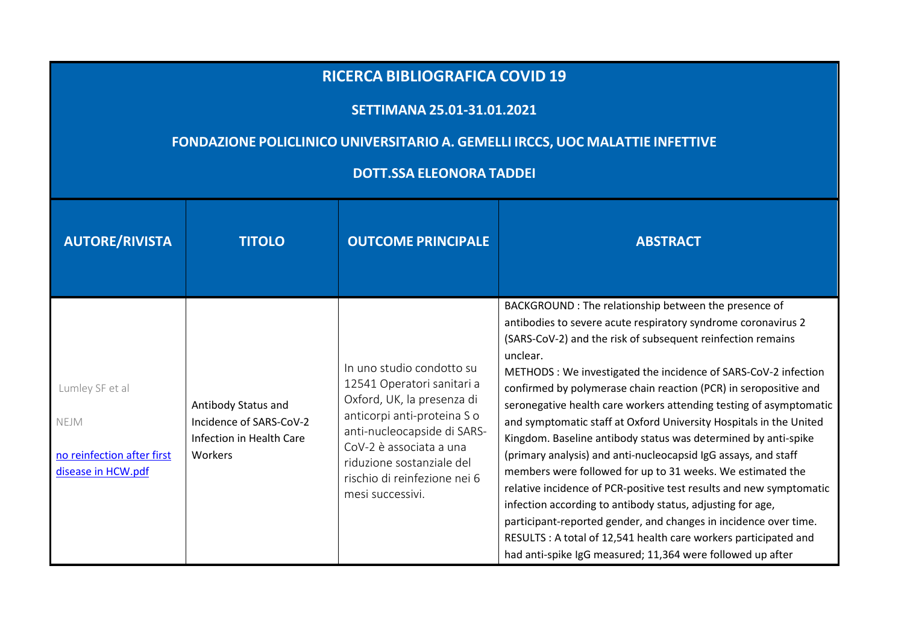## **RICERCA BIBLIOGRAFICA COVID <sup>19</sup>**

## **SETTIMANA 25.01-31.01.2021**

## **FONDAZIONE POLICLINICO UNIVERSITARIO A. GEMELLI IRCCS, UOC MALATTIE INFETTIVE**

## **DOTT.SSA ELEONORA TADDEI**

| <b>AUTORE/RIVISTA</b>                                                       | <b>TITOLO</b>                                                                         | <b>OUTCOME PRINCIPALE</b>                                                                                                                                                                                                                                       | <b>ABSTRACT</b>                                                                                                                                                                                                                                                                                                                                                                                                                                                                                                                                                                                                                                                                                                                                                                                                                                                                                                                                                                                                                   |
|-----------------------------------------------------------------------------|---------------------------------------------------------------------------------------|-----------------------------------------------------------------------------------------------------------------------------------------------------------------------------------------------------------------------------------------------------------------|-----------------------------------------------------------------------------------------------------------------------------------------------------------------------------------------------------------------------------------------------------------------------------------------------------------------------------------------------------------------------------------------------------------------------------------------------------------------------------------------------------------------------------------------------------------------------------------------------------------------------------------------------------------------------------------------------------------------------------------------------------------------------------------------------------------------------------------------------------------------------------------------------------------------------------------------------------------------------------------------------------------------------------------|
| Lumley SF et al<br>NEJM<br>no reinfection after first<br>disease in HCW.pdf | Antibody Status and<br>Incidence of SARS-CoV-2<br>Infection in Health Care<br>Workers | In uno studio condotto su<br>12541 Operatori sanitari a<br>Oxford, UK, la presenza di<br>anticorpi anti-proteina S o<br>anti-nucleocapside di SARS-<br>CoV-2 è associata a una<br>riduzione sostanziale del<br>rischio di reinfezione nei 6<br>mesi successivi. | BACKGROUND : The relationship between the presence of<br>antibodies to severe acute respiratory syndrome coronavirus 2<br>(SARS-CoV-2) and the risk of subsequent reinfection remains<br>unclear.<br>METHODS : We investigated the incidence of SARS-CoV-2 infection<br>confirmed by polymerase chain reaction (PCR) in seropositive and<br>seronegative health care workers attending testing of asymptomatic<br>and symptomatic staff at Oxford University Hospitals in the United<br>Kingdom. Baseline antibody status was determined by anti-spike<br>(primary analysis) and anti-nucleocapsid IgG assays, and staff<br>members were followed for up to 31 weeks. We estimated the<br>relative incidence of PCR-positive test results and new symptomatic<br>infection according to antibody status, adjusting for age,<br>participant-reported gender, and changes in incidence over time.<br>RESULTS : A total of 12,541 health care workers participated and<br>had anti-spike IgG measured; 11,364 were followed up after |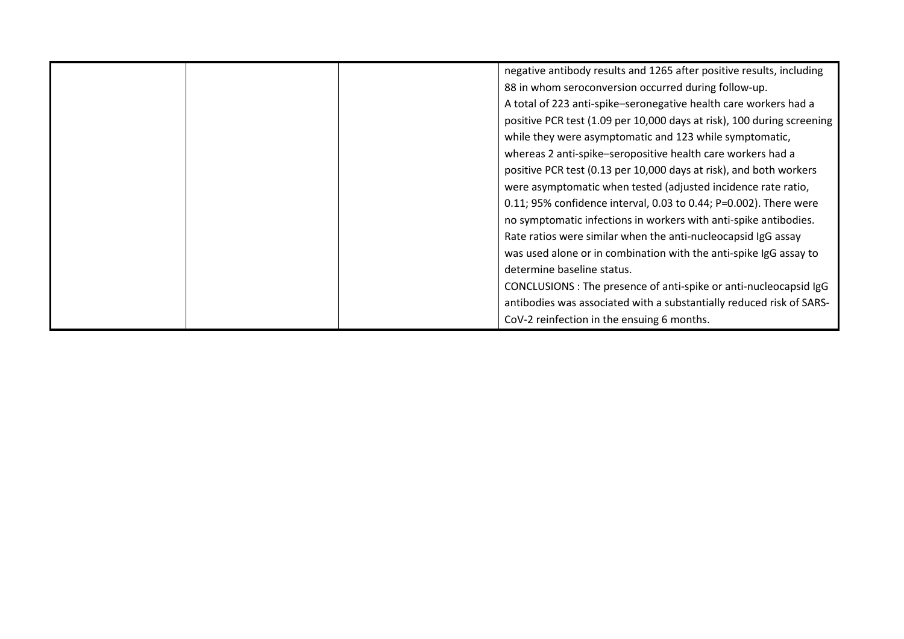|  | negative antibody results and 1265 after positive results, including   |
|--|------------------------------------------------------------------------|
|  | 88 in whom seroconversion occurred during follow-up.                   |
|  | A total of 223 anti-spike-seronegative health care workers had a       |
|  | positive PCR test (1.09 per 10,000 days at risk), 100 during screening |
|  | while they were asymptomatic and 123 while symptomatic,                |
|  | whereas 2 anti-spike-seropositive health care workers had a            |
|  | positive PCR test (0.13 per 10,000 days at risk), and both workers     |
|  | were asymptomatic when tested (adjusted incidence rate ratio,          |
|  | 0.11; 95% confidence interval, 0.03 to 0.44; P=0.002). There were      |
|  | no symptomatic infections in workers with anti-spike antibodies.       |
|  | Rate ratios were similar when the anti-nucleocapsid IgG assay          |
|  | was used alone or in combination with the anti-spike IgG assay to      |
|  | determine baseline status.                                             |
|  | CONCLUSIONS: The presence of anti-spike or anti-nucleocapsid IgG       |
|  | antibodies was associated with a substantially reduced risk of SARS-   |
|  | CoV-2 reinfection in the ensuing 6 months.                             |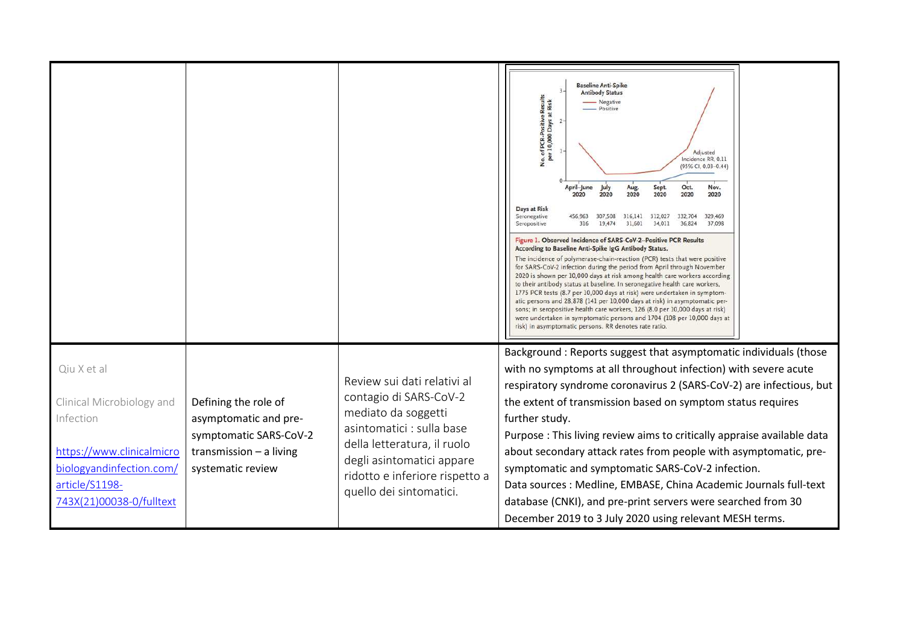|                                                                                                                                                              |                                                                                                                           |                                                                                                                                                                                                                                    | <b>Baseline Anti-Spike</b><br><b>Antibody Status</b><br>No. of PCR-Positive Results<br>per 10,000 Days at Risk<br>- Negative<br>- Positive<br>Adjusted<br>Incidence RR, 0.11<br>(95% CI, 0.03-0.44)<br>April-June<br>Oct.<br>July<br>Nov.<br>Aug.<br>Sept.<br>2020<br>2020<br>2020<br>2020<br>2020<br>2020<br>Days at Risk<br>Seronegative<br>332,704<br>456,963<br>307,508<br>316,141 312,027<br>329,469<br>316<br>19,474<br>31,601<br>34,011<br>36,824<br>37,098<br>Seropositive<br>Figure 1. Observed Incidence of SARS-CoV-2-Positive PCR Results<br>According to Baseline Anti-Spike IgG Antibody Status.<br>The incidence of polymerase-chain-reaction (PCR) tests that were positive<br>for SARS-CoV-2 infection during the period from April through November<br>2020 is shown per 10,000 days at risk among health care workers according<br>to their antibody status at baseline. In seronegative health care workers,<br>1775 PCR tests (8.7 per 10,000 days at risk) were undertaken in symptom-<br>atic persons and 28,878 (141 per 10,000 days at risk) in asymptomatic per-<br>sons; in seropositive health care workers, 126 (8.0 per 10,000 days at risk)<br>were undertaken in symptomatic persons and 1704 (108 per 10,000 days at<br>risk) in asymptomatic persons. RR denotes rate ratio. |
|--------------------------------------------------------------------------------------------------------------------------------------------------------------|---------------------------------------------------------------------------------------------------------------------------|------------------------------------------------------------------------------------------------------------------------------------------------------------------------------------------------------------------------------------|----------------------------------------------------------------------------------------------------------------------------------------------------------------------------------------------------------------------------------------------------------------------------------------------------------------------------------------------------------------------------------------------------------------------------------------------------------------------------------------------------------------------------------------------------------------------------------------------------------------------------------------------------------------------------------------------------------------------------------------------------------------------------------------------------------------------------------------------------------------------------------------------------------------------------------------------------------------------------------------------------------------------------------------------------------------------------------------------------------------------------------------------------------------------------------------------------------------------------------------------------------------------------------------------------------------|
| Qiu X et al<br>Clinical Microbiology and<br>Infection<br>https://www.clinicalmicro<br>biologyandinfection.com/<br>article/S1198-<br>743X(21)00038-0/fulltext | Defining the role of<br>asymptomatic and pre-<br>symptomatic SARS-CoV-2<br>transmission $-$ a living<br>systematic review | Review sui dati relativi al<br>contagio di SARS-CoV-2<br>mediato da soggetti<br>asintomatici : sulla base<br>della letteratura, il ruolo<br>degli asintomatici appare<br>ridotto e inferiore rispetto a<br>quello dei sintomatici. | Background: Reports suggest that asymptomatic individuals (those<br>with no symptoms at all throughout infection) with severe acute<br>respiratory syndrome coronavirus 2 (SARS-CoV-2) are infectious, but<br>the extent of transmission based on symptom status requires<br>further study.<br>Purpose : This living review aims to critically appraise available data<br>about secondary attack rates from people with asymptomatic, pre-<br>symptomatic and symptomatic SARS-CoV-2 infection.<br>Data sources : Medline, EMBASE, China Academic Journals full-text<br>database (CNKI), and pre-print servers were searched from 30<br>December 2019 to 3 July 2020 using relevant MESH terms.                                                                                                                                                                                                                                                                                                                                                                                                                                                                                                                                                                                                                |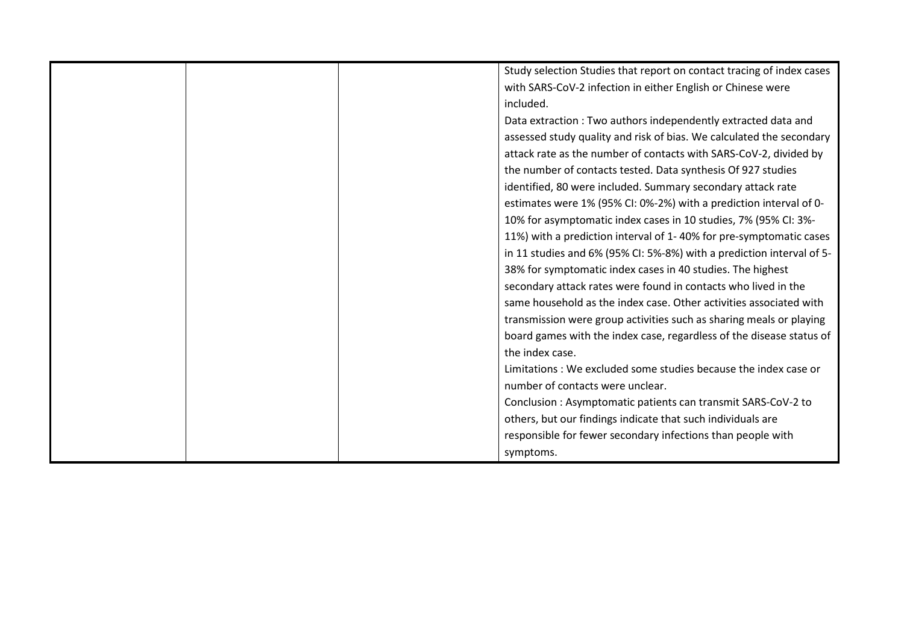|  | Study selection Studies that report on contact tracing of index cases |
|--|-----------------------------------------------------------------------|
|  | with SARS-CoV-2 infection in either English or Chinese were           |
|  | included.                                                             |
|  | Data extraction: Two authors independently extracted data and         |
|  | assessed study quality and risk of bias. We calculated the secondary  |
|  | attack rate as the number of contacts with SARS-CoV-2, divided by     |
|  | the number of contacts tested. Data synthesis Of 927 studies          |
|  | identified, 80 were included. Summary secondary attack rate           |
|  | estimates were 1% (95% CI: 0%-2%) with a prediction interval of 0-    |
|  | 10% for asymptomatic index cases in 10 studies, 7% (95% CI: 3%-       |
|  | 11%) with a prediction interval of 1-40% for pre-symptomatic cases    |
|  | in 11 studies and 6% (95% CI: 5%-8%) with a prediction interval of 5- |
|  | 38% for symptomatic index cases in 40 studies. The highest            |
|  | secondary attack rates were found in contacts who lived in the        |
|  | same household as the index case. Other activities associated with    |
|  | transmission were group activities such as sharing meals or playing   |
|  | board games with the index case, regardless of the disease status of  |
|  | the index case.                                                       |
|  | Limitations : We excluded some studies because the index case or      |
|  | number of contacts were unclear.                                      |
|  | Conclusion: Asymptomatic patients can transmit SARS-CoV-2 to          |
|  | others, but our findings indicate that such individuals are           |
|  | responsible for fewer secondary infections than people with           |
|  | symptoms.                                                             |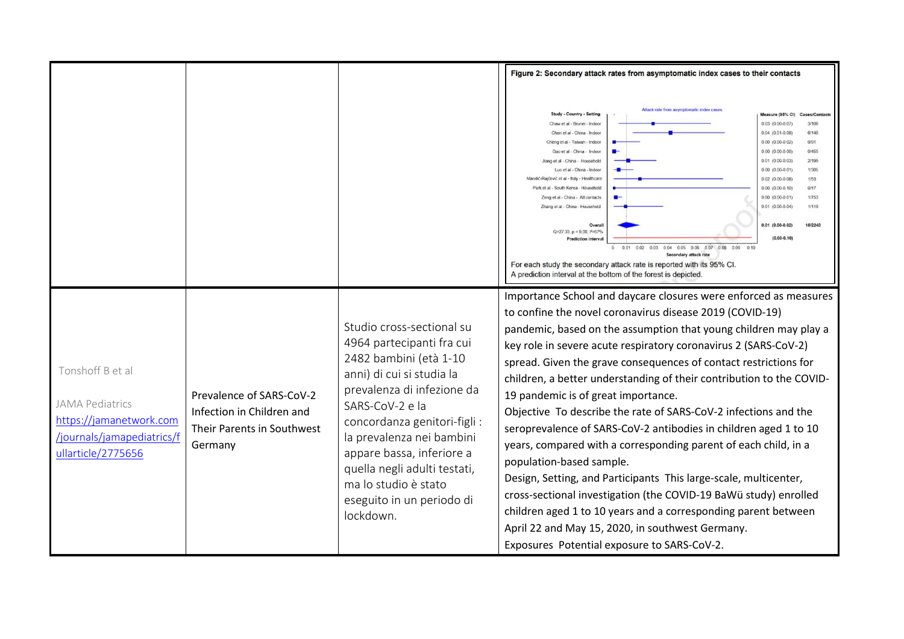|                                                                                                                           |                                                                                                |                                                                                                                                                                                                                                                                                                                                                            | Figure 2: Secondary attack rates from asymptomatic index cases to their contacts                                                                                                                                                                                                                                                                                                                                                                                                                                                                                                                                                                                                                                                                                                                                                                                                                                                                                                                                                                                                                                                                                                    |
|---------------------------------------------------------------------------------------------------------------------------|------------------------------------------------------------------------------------------------|------------------------------------------------------------------------------------------------------------------------------------------------------------------------------------------------------------------------------------------------------------------------------------------------------------------------------------------------------------|-------------------------------------------------------------------------------------------------------------------------------------------------------------------------------------------------------------------------------------------------------------------------------------------------------------------------------------------------------------------------------------------------------------------------------------------------------------------------------------------------------------------------------------------------------------------------------------------------------------------------------------------------------------------------------------------------------------------------------------------------------------------------------------------------------------------------------------------------------------------------------------------------------------------------------------------------------------------------------------------------------------------------------------------------------------------------------------------------------------------------------------------------------------------------------------|
|                                                                                                                           |                                                                                                |                                                                                                                                                                                                                                                                                                                                                            | Altack rate from asymptomatic index case<br><b>Study - Country - Setting</b><br>Measure (95% CI)<br>Cases/Contact<br>Chaw et al - Brunei - Indoor<br>$0.03$ $(0.00 - 0.07)$<br>3/106<br>$0.04$ (0.01-0.08)<br>6/146<br>Chen et al - China - Indoor<br>$0.00(0.00-0.02)$<br>0/91<br>Cheng et al - Taiwan - Indoor<br>Gao et al - China - Indoor<br>$0.00$ (0.00-0.00)<br>0/455<br>$0.01$ (0.00-0.03)<br>2/195<br>Jiano et al - China - Household<br>Luo et al - China - Indoor<br>$0.00$ $(0.00-0.01)$<br>1/305<br>Mandić-Rajčević et al - Italy - Healthcare<br>$0.02$ $(0.00-0.08)$<br>1/53<br>Park et al - South Korea - Household<br>$0.00$ $(0.00-0.10)$<br>0/17<br>Zeng et al - China - All contacts<br>$0.00$ $(0.00 - 0.01)$<br>1/753<br>Zhang et al - China - Household<br>$0.01$ $(0.00 - 0.04)$<br>1/119<br>$0.01$ (0.00-0.02)<br>15/2240<br>Overal<br>$Q=27.33, p \le 0.00, l^2=67\%$<br>$(0.00 - 0.10)$<br><b>Prediction interva</b><br>0.01  0.02  0.03  0.04  0.05  0.06  0.07  0.08  0.09<br><b>Secondary attack rate</b><br>For each study the secondary attack rate is reported with its 95% CI.<br>A prediction interval at the bottom of the forest is depicted. |
| Tonshoff B et al<br><b>JAMA Pediatrics</b><br>https://jamanetwork.com<br>/journals/jamapediatrics/f<br>ullarticle/2775656 | Prevalence of SARS-CoV-2<br>Infection in Children and<br>Their Parents in Southwest<br>Germany | Studio cross-sectional su<br>4964 partecipanti fra cui<br>2482 bambini (età 1-10<br>anni) di cui si studia la<br>prevalenza di infezione da<br>SARS-CoV-2 e la<br>concordanza genitori-figli :<br>la prevalenza nei bambini<br>appare bassa, inferiore a<br>quella negli adulti testati,<br>ma lo studio è stato<br>eseguito in un periodo di<br>lockdown. | Importance School and daycare closures were enforced as measures<br>to confine the novel coronavirus disease 2019 (COVID-19)<br>pandemic, based on the assumption that young children may play a<br>key role in severe acute respiratory coronavirus 2 (SARS-CoV-2)<br>spread. Given the grave consequences of contact restrictions for<br>children, a better understanding of their contribution to the COVID-<br>19 pandemic is of great importance.<br>Objective To describe the rate of SARS-CoV-2 infections and the<br>seroprevalence of SARS-CoV-2 antibodies in children aged 1 to 10<br>years, compared with a corresponding parent of each child, in a<br>population-based sample.<br>Design, Setting, and Participants This large-scale, multicenter,<br>cross-sectional investigation (the COVID-19 BaWü study) enrolled<br>children aged 1 to 10 years and a corresponding parent between<br>April 22 and May 15, 2020, in southwest Germany.<br>Exposures Potential exposure to SARS-CoV-2.                                                                                                                                                                           |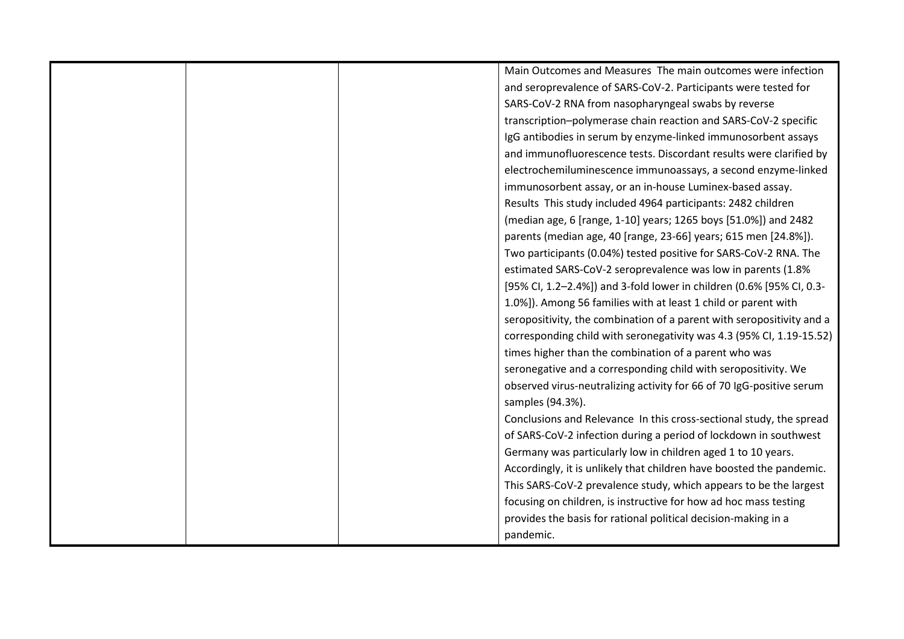|  | Main Outcomes and Measures The main outcomes were infection                              |
|--|------------------------------------------------------------------------------------------|
|  | and seroprevalence of SARS-CoV-2. Participants were tested for                           |
|  | SARS-CoV-2 RNA from nasopharyngeal swabs by reverse                                      |
|  | transcription-polymerase chain reaction and SARS-CoV-2 specific                          |
|  | IgG antibodies in serum by enzyme-linked immunosorbent assays                            |
|  | and immunofluorescence tests. Discordant results were clarified by                       |
|  | electrochemiluminescence immunoassays, a second enzyme-linked                            |
|  | immunosorbent assay, or an in-house Luminex-based assay.                                 |
|  | Results This study included 4964 participants: 2482 children                             |
|  | (median age, 6 [range, 1-10] years; 1265 boys [51.0%]) and 2482                          |
|  | parents (median age, 40 [range, 23-66] years; 615 men [24.8%]).                          |
|  | Two participants (0.04%) tested positive for SARS-CoV-2 RNA. The                         |
|  | estimated SARS-CoV-2 seroprevalence was low in parents (1.8%                             |
|  | [95% CI, 1.2-2.4%]) and 3-fold lower in children (0.6% [95% CI, 0.3-                     |
|  | 1.0%]). Among 56 families with at least 1 child or parent with                           |
|  | seropositivity, the combination of a parent with seropositivity and a                    |
|  | corresponding child with seronegativity was 4.3 (95% CI, 1.19-15.52)                     |
|  | times higher than the combination of a parent who was                                    |
|  | seronegative and a corresponding child with seropositivity. We                           |
|  | observed virus-neutralizing activity for 66 of 70 IgG-positive serum<br>samples (94.3%). |
|  | Conclusions and Relevance In this cross-sectional study, the spread                      |
|  | of SARS-CoV-2 infection during a period of lockdown in southwest                         |
|  | Germany was particularly low in children aged 1 to 10 years.                             |
|  | Accordingly, it is unlikely that children have boosted the pandemic.                     |
|  | This SARS-CoV-2 prevalence study, which appears to be the largest                        |
|  | focusing on children, is instructive for how ad hoc mass testing                         |
|  | provides the basis for rational political decision-making in a                           |
|  | pandemic.                                                                                |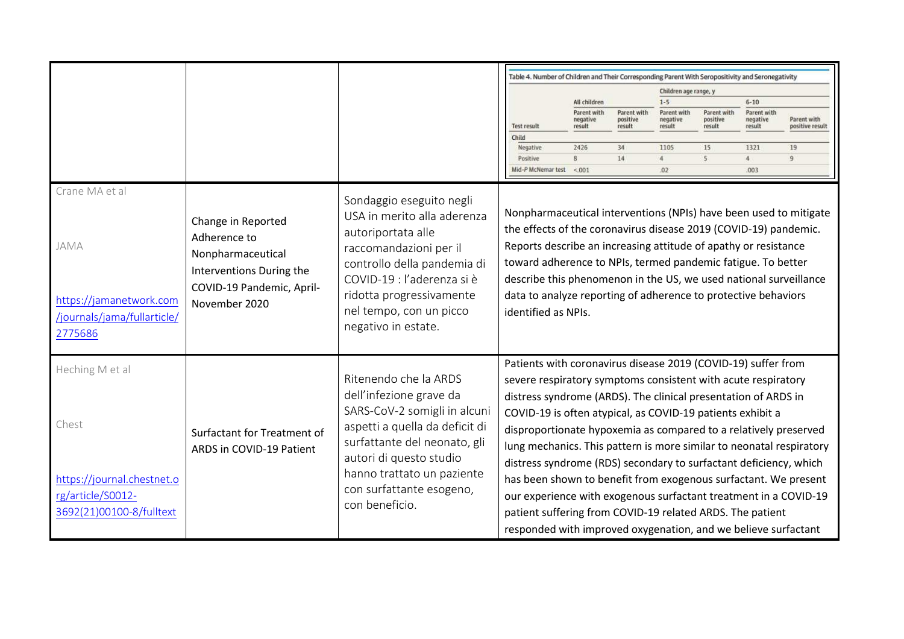|                                                                                                         |                                                                                                                                   |                                                                                                                                                                                                                                                           |                     | Table 4. Number of Children and Their Corresponding Parent With Seropositivity and Seronegativity                                                                                                                                                                                                                                                                                                                                                                                                                                                                                                                                                                                                                                                     |                                   |                                   |                                   |                                   |                                |
|---------------------------------------------------------------------------------------------------------|-----------------------------------------------------------------------------------------------------------------------------------|-----------------------------------------------------------------------------------------------------------------------------------------------------------------------------------------------------------------------------------------------------------|---------------------|-------------------------------------------------------------------------------------------------------------------------------------------------------------------------------------------------------------------------------------------------------------------------------------------------------------------------------------------------------------------------------------------------------------------------------------------------------------------------------------------------------------------------------------------------------------------------------------------------------------------------------------------------------------------------------------------------------------------------------------------------------|-----------------------------------|-----------------------------------|-----------------------------------|-----------------------------------|--------------------------------|
|                                                                                                         |                                                                                                                                   |                                                                                                                                                                                                                                                           |                     |                                                                                                                                                                                                                                                                                                                                                                                                                                                                                                                                                                                                                                                                                                                                                       |                                   |                                   | Children age range, y             |                                   |                                |
|                                                                                                         |                                                                                                                                   |                                                                                                                                                                                                                                                           |                     | All children                                                                                                                                                                                                                                                                                                                                                                                                                                                                                                                                                                                                                                                                                                                                          |                                   | $1 - 5$                           |                                   | $6 - 10$                          |                                |
|                                                                                                         |                                                                                                                                   |                                                                                                                                                                                                                                                           | <b>Test result</b>  | Parent with<br>negative<br>result                                                                                                                                                                                                                                                                                                                                                                                                                                                                                                                                                                                                                                                                                                                     | Parent with<br>positive<br>result | Parent with<br>negative<br>result | Parent with<br>positive<br>result | Parent with<br>negative<br>result | Parent with<br>positive result |
|                                                                                                         |                                                                                                                                   |                                                                                                                                                                                                                                                           | Child<br>Negative   | 2426                                                                                                                                                                                                                                                                                                                                                                                                                                                                                                                                                                                                                                                                                                                                                  | 34                                | 1105                              | 15                                | 1321                              | 19                             |
|                                                                                                         |                                                                                                                                   |                                                                                                                                                                                                                                                           | Positive            | 8                                                                                                                                                                                                                                                                                                                                                                                                                                                                                                                                                                                                                                                                                                                                                     | 14                                | $\overline{4}$                    | 5                                 | $\frac{1}{4}$                     | $\overline{9}$                 |
|                                                                                                         |                                                                                                                                   |                                                                                                                                                                                                                                                           | Mid-P McNemar test  | < 001                                                                                                                                                                                                                                                                                                                                                                                                                                                                                                                                                                                                                                                                                                                                                 |                                   | .02                               |                                   | .003                              |                                |
| Crane MA et al<br><b>JAMA</b><br>https://jamanetwork.com<br>/journals/jama/fullarticle/<br>2775686      | Change in Reported<br>Adherence to<br>Nonpharmaceutical<br>Interventions During the<br>COVID-19 Pandemic, April-<br>November 2020 | Sondaggio eseguito negli<br>USA in merito alla aderenza<br>autoriportata alle<br>raccomandazioni per il<br>controllo della pandemia di<br>COVID-19 : l'aderenza si è<br>ridotta progressivamente<br>nel tempo, con un picco<br>negativo in estate.        | identified as NPIs. | Nonpharmaceutical interventions (NPIs) have been used to mitigate<br>the effects of the coronavirus disease 2019 (COVID-19) pandemic.<br>Reports describe an increasing attitude of apathy or resistance<br>toward adherence to NPIs, termed pandemic fatigue. To better<br>describe this phenomenon in the US, we used national surveillance<br>data to analyze reporting of adherence to protective behaviors                                                                                                                                                                                                                                                                                                                                       |                                   |                                   |                                   |                                   |                                |
| Heching M et al<br>Chest<br>https://journal.chestnet.o<br>rg/article/S0012-<br>3692(21)00100-8/fulltext | Surfactant for Treatment of<br>ARDS in COVID-19 Patient                                                                           | Ritenendo che la ARDS<br>dell'infezione grave da<br>SARS-CoV-2 somigli in alcuni<br>aspetti a quella da deficit di<br>surfattante del neonato, gli<br>autori di questo studio<br>hanno trattato un paziente<br>con surfattante esogeno,<br>con beneficio. |                     | Patients with coronavirus disease 2019 (COVID-19) suffer from<br>severe respiratory symptoms consistent with acute respiratory<br>distress syndrome (ARDS). The clinical presentation of ARDS in<br>COVID-19 is often atypical, as COVID-19 patients exhibit a<br>disproportionate hypoxemia as compared to a relatively preserved<br>lung mechanics. This pattern is more similar to neonatal respiratory<br>distress syndrome (RDS) secondary to surfactant deficiency, which<br>has been shown to benefit from exogenous surfactant. We present<br>our experience with exogenous surfactant treatment in a COVID-19<br>patient suffering from COVID-19 related ARDS. The patient<br>responded with improved oxygenation, and we believe surfactant |                                   |                                   |                                   |                                   |                                |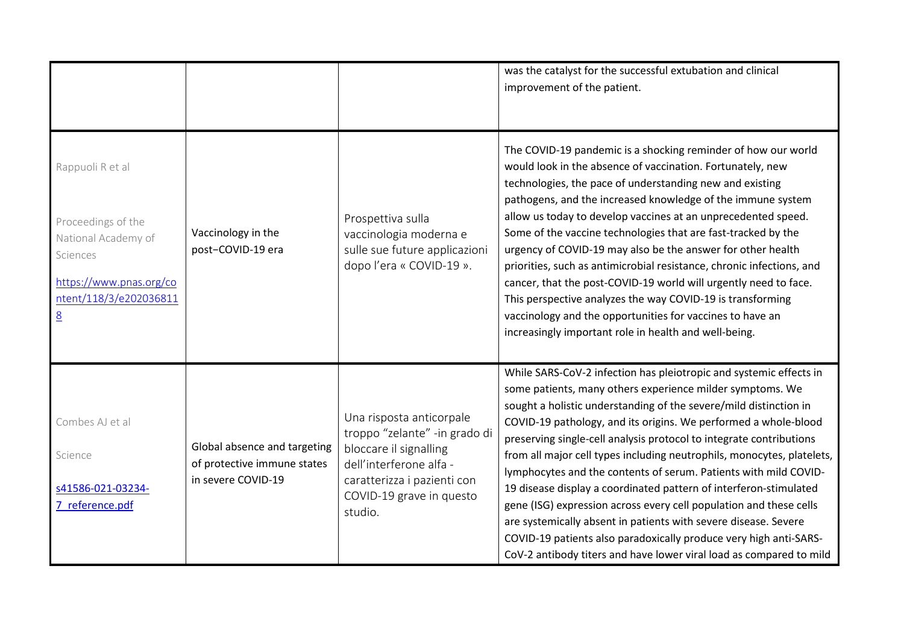|                                                                                                                                                   |                                                                                   |                                                                                                                                                                                      | was the catalyst for the successful extubation and clinical<br>improvement of the patient.                                                                                                                                                                                                                                                                                                                                                                                                                                                                                                                                                                                                                                                                                                                                                             |
|---------------------------------------------------------------------------------------------------------------------------------------------------|-----------------------------------------------------------------------------------|--------------------------------------------------------------------------------------------------------------------------------------------------------------------------------------|--------------------------------------------------------------------------------------------------------------------------------------------------------------------------------------------------------------------------------------------------------------------------------------------------------------------------------------------------------------------------------------------------------------------------------------------------------------------------------------------------------------------------------------------------------------------------------------------------------------------------------------------------------------------------------------------------------------------------------------------------------------------------------------------------------------------------------------------------------|
| Rappuoli R et al<br>Proceedings of the<br>National Academy of<br>Sciences<br>https://www.pnas.org/co<br>ntent/118/3/e202036811<br>$\underline{8}$ | Vaccinology in the<br>post-COVID-19 era                                           | Prospettiva sulla<br>vaccinologia moderna e<br>sulle sue future applicazioni<br>dopo l'era « COVID-19 ».                                                                             | The COVID-19 pandemic is a shocking reminder of how our world<br>would look in the absence of vaccination. Fortunately, new<br>technologies, the pace of understanding new and existing<br>pathogens, and the increased knowledge of the immune system<br>allow us today to develop vaccines at an unprecedented speed.<br>Some of the vaccine technologies that are fast-tracked by the<br>urgency of COVID-19 may also be the answer for other health<br>priorities, such as antimicrobial resistance, chronic infections, and<br>cancer, that the post-COVID-19 world will urgently need to face.<br>This perspective analyzes the way COVID-19 is transforming<br>vaccinology and the opportunities for vaccines to have an<br>increasingly important role in health and well-being.                                                               |
| Combes AJ et al<br>Science<br>s41586-021-03234-<br>7 reference.pdf                                                                                | Global absence and targeting<br>of protective immune states<br>in severe COVID-19 | Una risposta anticorpale<br>troppo "zelante" -in grado di<br>bloccare il signalling<br>dell'interferone alfa -<br>caratterizza i pazienti con<br>COVID-19 grave in questo<br>studio. | While SARS-CoV-2 infection has pleiotropic and systemic effects in<br>some patients, many others experience milder symptoms. We<br>sought a holistic understanding of the severe/mild distinction in<br>COVID-19 pathology, and its origins. We performed a whole-blood<br>preserving single-cell analysis protocol to integrate contributions<br>from all major cell types including neutrophils, monocytes, platelets,<br>lymphocytes and the contents of serum. Patients with mild COVID-<br>19 disease display a coordinated pattern of interferon-stimulated<br>gene (ISG) expression across every cell population and these cells<br>are systemically absent in patients with severe disease. Severe<br>COVID-19 patients also paradoxically produce very high anti-SARS-<br>CoV-2 antibody titers and have lower viral load as compared to mild |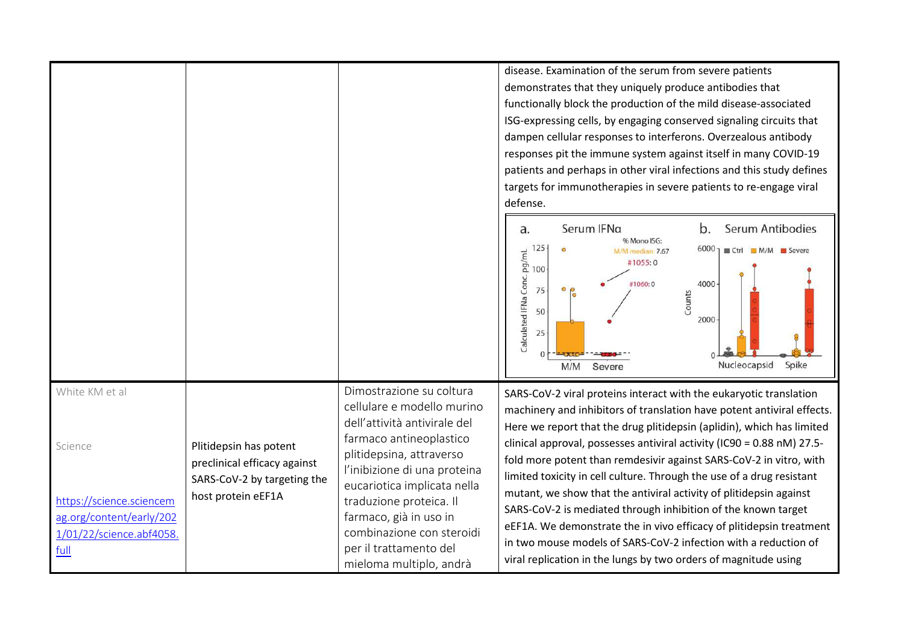disease. Examination of the serum from severe patientsdemonstrates that they uniquely produce antibodies that functionally block the production of the mild disease-associated ISG-expressing cells, by engaging conserved signaling circuits that dampen cellular responses to interferons. Overzealous antibody responses pit the immune system against itself in many COVID-19 patients and perhaps in other viral infections and this study defines targets for immunotherapies in severe patients to re-engage viral defense.



|                                                                                                 |                                                                                       |                                                                                                                                                                                                                                                                                                                                                     | Nucleocapsid<br>Spike<br>M/M Severe                                                                                                                                                                                                                                                                                                                                                                                                            |
|-------------------------------------------------------------------------------------------------|---------------------------------------------------------------------------------------|-----------------------------------------------------------------------------------------------------------------------------------------------------------------------------------------------------------------------------------------------------------------------------------------------------------------------------------------------------|------------------------------------------------------------------------------------------------------------------------------------------------------------------------------------------------------------------------------------------------------------------------------------------------------------------------------------------------------------------------------------------------------------------------------------------------|
| White KM et al<br>Science                                                                       | Plitidepsin has potent<br>preclinical efficacy against<br>SARS-CoV-2 by targeting the | Dimostrazione su coltura<br>cellulare e modello murino<br>dell'attività antivirale del<br>farmaco antineoplastico<br>plitidepsina, attraverso<br>l'inibizione di una proteina<br>eucariotica implicata nella<br>traduzione proteica. Il<br>farmaco, già in uso in<br>combinazione con steroidi<br>per il trattamento del<br>mieloma multiplo, andrà | SARS-CoV-2 viral proteins interact with the eukaryotic translation<br>machinery and inhibitors of translation have potent antiviral effects.<br>Here we report that the drug plitidepsin (aplidin), which has limited<br>clinical approval, possesses antiviral activity (IC90 = 0.88 nM) 27.5-<br>fold more potent than remdesivir against SARS-CoV-2 in vitro, with<br>limited toxicity in cell culture. Through the use of a drug resistant |
| https://science.sciencem<br>ag.org/content/early/202<br>1/01/22/science.abf4058.<br><u>full</u> | host protein eEF1A                                                                    |                                                                                                                                                                                                                                                                                                                                                     |                                                                                                                                                                                                                                                                                                                                                                                                                                                |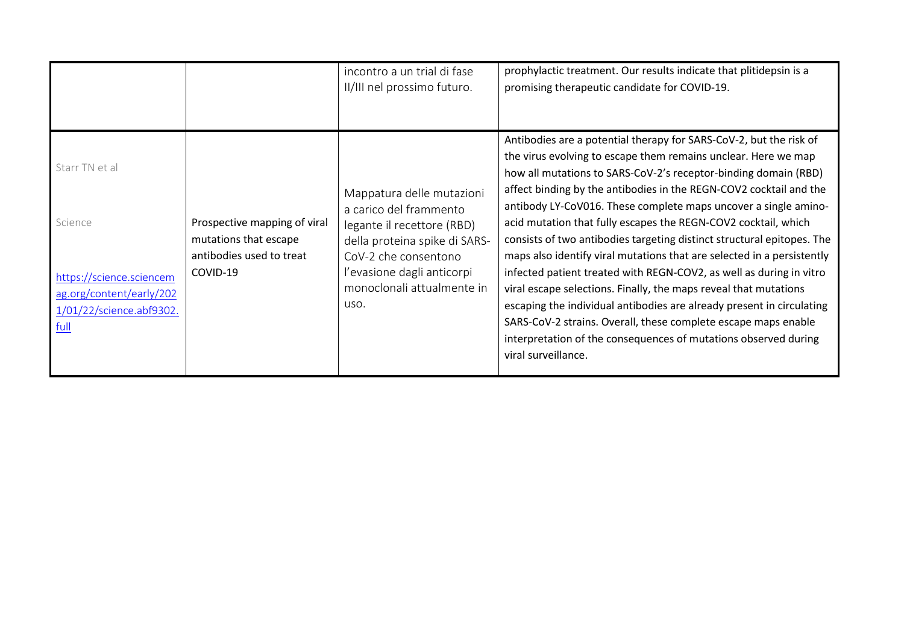|                                                                                                                       |                                                                                               | incontro a un trial di fase<br>II/III nel prossimo futuro.                                                                                                                                                     | prophylactic treatment. Our results indicate that plitidepsin is a<br>promising therapeutic candidate for COVID-19.                                                                                                                                                                                                                                                                                                                                                                                                                                                                                                                                                                                                                                                                                                                                                                                                                                    |
|-----------------------------------------------------------------------------------------------------------------------|-----------------------------------------------------------------------------------------------|----------------------------------------------------------------------------------------------------------------------------------------------------------------------------------------------------------------|--------------------------------------------------------------------------------------------------------------------------------------------------------------------------------------------------------------------------------------------------------------------------------------------------------------------------------------------------------------------------------------------------------------------------------------------------------------------------------------------------------------------------------------------------------------------------------------------------------------------------------------------------------------------------------------------------------------------------------------------------------------------------------------------------------------------------------------------------------------------------------------------------------------------------------------------------------|
| Starr TN et al<br>Science<br>https://science.sciencem<br>ag.org/content/early/202<br>1/01/22/science.abf9302.<br>full | Prospective mapping of viral<br>mutations that escape<br>antibodies used to treat<br>COVID-19 | Mappatura delle mutazioni<br>a carico del frammento<br>legante il recettore (RBD)<br>della proteina spike di SARS-<br>CoV-2 che consentono<br>l'evasione dagli anticorpi<br>monoclonali attualmente in<br>uso. | Antibodies are a potential therapy for SARS-CoV-2, but the risk of<br>the virus evolving to escape them remains unclear. Here we map<br>how all mutations to SARS-CoV-2's receptor-binding domain (RBD)<br>affect binding by the antibodies in the REGN-COV2 cocktail and the<br>antibody LY-CoV016. These complete maps uncover a single amino-<br>acid mutation that fully escapes the REGN-COV2 cocktail, which<br>consists of two antibodies targeting distinct structural epitopes. The<br>maps also identify viral mutations that are selected in a persistently<br>infected patient treated with REGN-COV2, as well as during in vitro<br>viral escape selections. Finally, the maps reveal that mutations<br>escaping the individual antibodies are already present in circulating<br>SARS-CoV-2 strains. Overall, these complete escape maps enable<br>interpretation of the consequences of mutations observed during<br>viral surveillance. |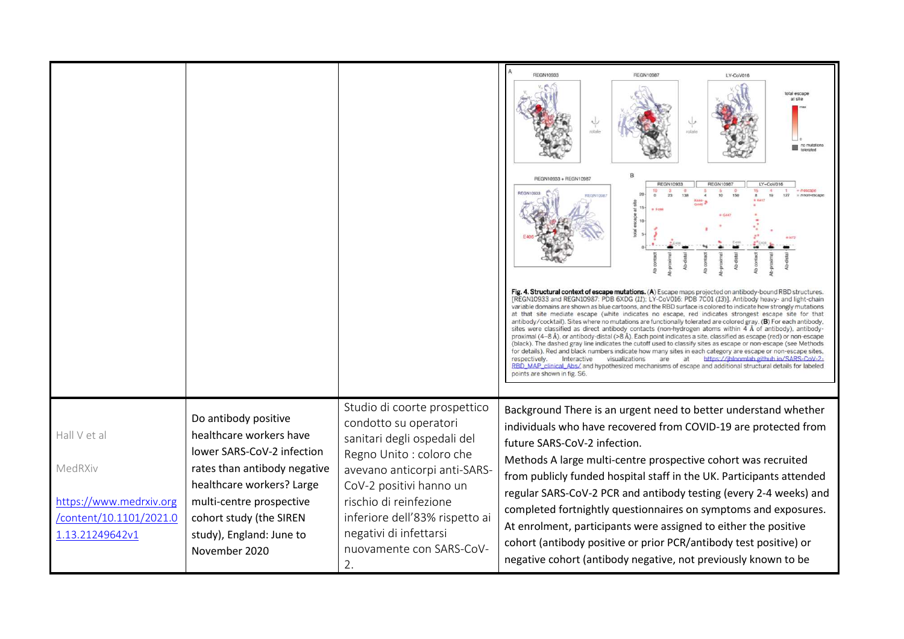|                                                                                                  |                                                                                                                                                                                                                                                |                                                                                                                                                                                                                                                                                                     | <b>REGN10933</b><br><b>REGN10987</b><br>LY-CoV016<br>rotete<br>REGN10933 + REGN10987<br><b>REGN10933</b><br>REGN1098<br>LY-CoV016<br>Fig. 4. Structural context of escape mutations. (A) Escape maps projected on antibody-bound RBD structures.<br>[REGN10933 and REGN10987: PDB 6XDG (11); LY-CoV016: PDB 7C01 (13)]. Antibody heavy- and light-chain<br>variable domains are shown as blue cartoons, and the RBD surface is colored to indicate how strongly mutations<br>at that site mediate escape (white indicates no escape, red indicates strongest escape site for that<br>antibody/cocktail). Sites where no mutations are functionally tolerated are colored gray. (B) For each antibody,<br>sites were classified as direct antibody contacts (non-hydrogen atoms within $4 \text{ Å}$ of antibody), antibody-<br>proximal (4-8 Å), or antibody-distal (>8 Å). Each point indicates a site, classified as escape (red) or non-escape<br>(black). The dashed gray line indicates the cutoff used to classify sites as escape or non-escape (see Methods<br>for details). Red and black numbers indicate how many sites in each category are escape or non-escape sites,<br>Interactive<br>https://ibloomlab.github.io/SARS-CoV-2-<br>respectively.<br>visualizations<br>are<br>at<br>RBD_MAP_clinical_Abs/ and hypothesized mechanisms of escape and additional structural details for labeled<br>points are shown in fig. S6. |
|--------------------------------------------------------------------------------------------------|------------------------------------------------------------------------------------------------------------------------------------------------------------------------------------------------------------------------------------------------|-----------------------------------------------------------------------------------------------------------------------------------------------------------------------------------------------------------------------------------------------------------------------------------------------------|--------------------------------------------------------------------------------------------------------------------------------------------------------------------------------------------------------------------------------------------------------------------------------------------------------------------------------------------------------------------------------------------------------------------------------------------------------------------------------------------------------------------------------------------------------------------------------------------------------------------------------------------------------------------------------------------------------------------------------------------------------------------------------------------------------------------------------------------------------------------------------------------------------------------------------------------------------------------------------------------------------------------------------------------------------------------------------------------------------------------------------------------------------------------------------------------------------------------------------------------------------------------------------------------------------------------------------------------------------------------------------------------------------------------------------------------|
| Hall V et al<br>MedRXiv<br>https://www.medrxiv.org<br>/content/10.1101/2021.0<br>1.13.21249642v1 | Do antibody positive<br>healthcare workers have<br>lower SARS-CoV-2 infection<br>rates than antibody negative<br>healthcare workers? Large<br>multi-centre prospective<br>cohort study (the SIREN<br>study), England: June to<br>November 2020 | Studio di coorte prospettico<br>condotto su operatori<br>sanitari degli ospedali del<br>Regno Unito : coloro che<br>avevano anticorpi anti-SARS-<br>CoV-2 positivi hanno un<br>rischio di reinfezione<br>inferiore dell'83% rispetto ai<br>negativi di infettarsi<br>nuovamente con SARS-CoV-<br>2. | Background There is an urgent need to better understand whether<br>individuals who have recovered from COVID-19 are protected from<br>future SARS-CoV-2 infection.<br>Methods A large multi-centre prospective cohort was recruited<br>from publicly funded hospital staff in the UK. Participants attended<br>regular SARS-CoV-2 PCR and antibody testing (every 2-4 weeks) and<br>completed fortnightly questionnaires on symptoms and exposures.<br>At enrolment, participants were assigned to either the positive<br>cohort (antibody positive or prior PCR/antibody test positive) or<br>negative cohort (antibody negative, not previously known to be                                                                                                                                                                                                                                                                                                                                                                                                                                                                                                                                                                                                                                                                                                                                                                              |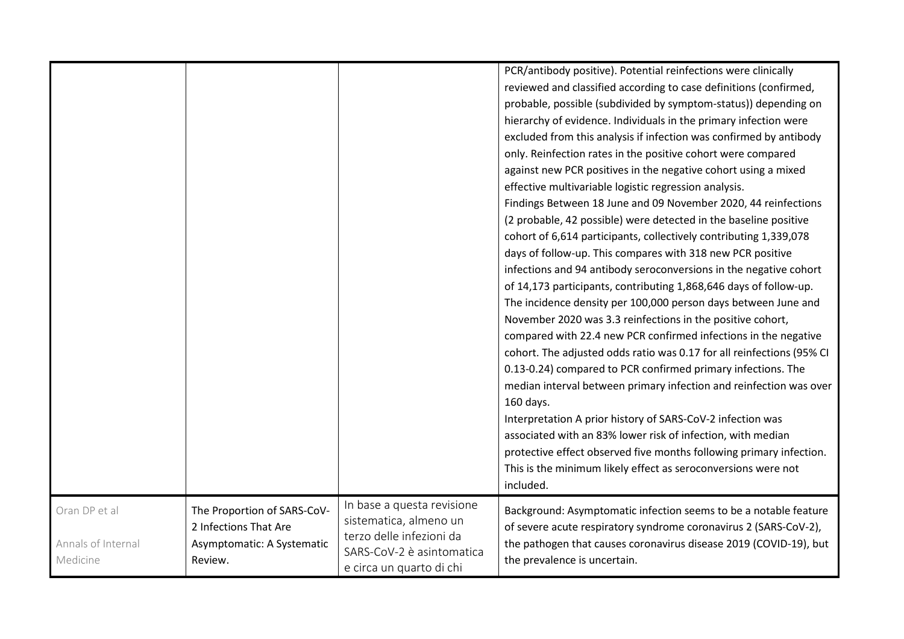|                                                 |                                                                                               |                                                                                                                                           | PCR/antibody positive). Potential reinfections were clinically<br>reviewed and classified according to case definitions (confirmed,<br>probable, possible (subdivided by symptom-status)) depending on<br>hierarchy of evidence. Individuals in the primary infection were<br>excluded from this analysis if infection was confirmed by antibody<br>only. Reinfection rates in the positive cohort were compared<br>against new PCR positives in the negative cohort using a mixed<br>effective multivariable logistic regression analysis.<br>Findings Between 18 June and 09 November 2020, 44 reinfections<br>(2 probable, 42 possible) were detected in the baseline positive<br>cohort of 6,614 participants, collectively contributing 1,339,078<br>days of follow-up. This compares with 318 new PCR positive<br>infections and 94 antibody seroconversions in the negative cohort<br>of 14,173 participants, contributing 1,868,646 days of follow-up.<br>The incidence density per 100,000 person days between June and<br>November 2020 was 3.3 reinfections in the positive cohort,<br>compared with 22.4 new PCR confirmed infections in the negative<br>cohort. The adjusted odds ratio was 0.17 for all reinfections (95% CI<br>0.13-0.24) compared to PCR confirmed primary infections. The<br>median interval between primary infection and reinfection was over<br>160 days.<br>Interpretation A prior history of SARS-CoV-2 infection was<br>associated with an 83% lower risk of infection, with median<br>protective effect observed five months following primary infection.<br>This is the minimum likely effect as seroconversions were not<br>included. |
|-------------------------------------------------|-----------------------------------------------------------------------------------------------|-------------------------------------------------------------------------------------------------------------------------------------------|---------------------------------------------------------------------------------------------------------------------------------------------------------------------------------------------------------------------------------------------------------------------------------------------------------------------------------------------------------------------------------------------------------------------------------------------------------------------------------------------------------------------------------------------------------------------------------------------------------------------------------------------------------------------------------------------------------------------------------------------------------------------------------------------------------------------------------------------------------------------------------------------------------------------------------------------------------------------------------------------------------------------------------------------------------------------------------------------------------------------------------------------------------------------------------------------------------------------------------------------------------------------------------------------------------------------------------------------------------------------------------------------------------------------------------------------------------------------------------------------------------------------------------------------------------------------------------------------------------------------------------------------------------------------------------|
| Oran DP et al<br>Annals of Internal<br>Medicine | The Proportion of SARS-CoV-<br>2 Infections That Are<br>Asymptomatic: A Systematic<br>Review. | In base a questa revisione<br>sistematica, almeno un<br>terzo delle infezioni da<br>SARS-CoV-2 è asintomatica<br>e circa un quarto di chi | Background: Asymptomatic infection seems to be a notable feature<br>of severe acute respiratory syndrome coronavirus 2 (SARS-CoV-2),<br>the pathogen that causes coronavirus disease 2019 (COVID-19), but<br>the prevalence is uncertain.                                                                                                                                                                                                                                                                                                                                                                                                                                                                                                                                                                                                                                                                                                                                                                                                                                                                                                                                                                                                                                                                                                                                                                                                                                                                                                                                                                                                                                       |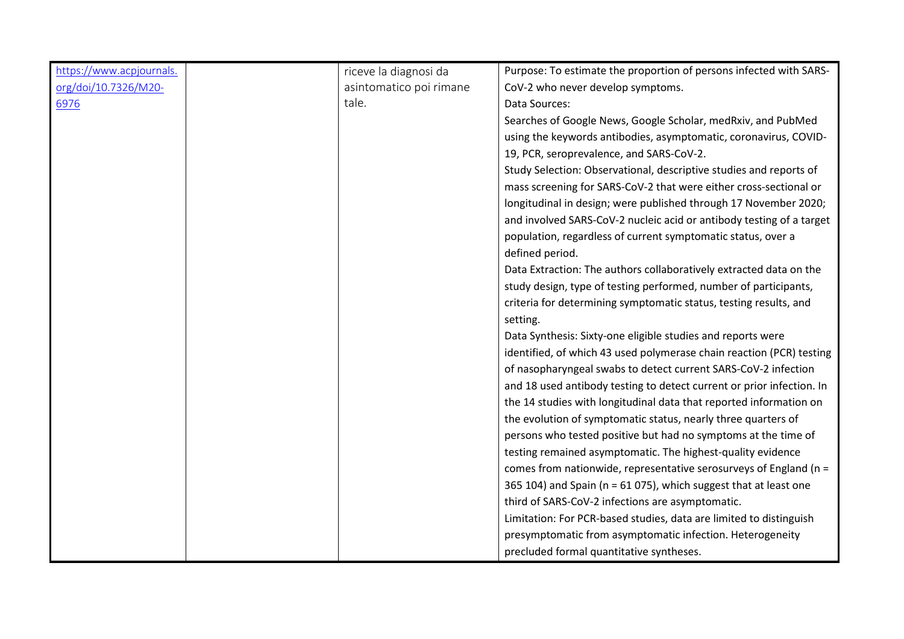| https://www.acpjournals. | riceve la diagnosi da   | Purpose: To estimate the proportion of persons infected with SARS-    |
|--------------------------|-------------------------|-----------------------------------------------------------------------|
| org/doi/10.7326/M20-     | asintomatico poi rimane | CoV-2 who never develop symptoms.                                     |
| 6976                     | tale.                   | Data Sources:                                                         |
|                          |                         | Searches of Google News, Google Scholar, medRxiv, and PubMed          |
|                          |                         | using the keywords antibodies, asymptomatic, coronavirus, COVID-      |
|                          |                         | 19, PCR, seroprevalence, and SARS-CoV-2.                              |
|                          |                         | Study Selection: Observational, descriptive studies and reports of    |
|                          |                         | mass screening for SARS-CoV-2 that were either cross-sectional or     |
|                          |                         | longitudinal in design; were published through 17 November 2020;      |
|                          |                         | and involved SARS-CoV-2 nucleic acid or antibody testing of a target  |
|                          |                         | population, regardless of current symptomatic status, over a          |
|                          |                         | defined period.                                                       |
|                          |                         | Data Extraction: The authors collaboratively extracted data on the    |
|                          |                         | study design, type of testing performed, number of participants,      |
|                          |                         | criteria for determining symptomatic status, testing results, and     |
|                          |                         | setting.                                                              |
|                          |                         | Data Synthesis: Sixty-one eligible studies and reports were           |
|                          |                         | identified, of which 43 used polymerase chain reaction (PCR) testing  |
|                          |                         | of nasopharyngeal swabs to detect current SARS-CoV-2 infection        |
|                          |                         | and 18 used antibody testing to detect current or prior infection. In |
|                          |                         | the 14 studies with longitudinal data that reported information on    |
|                          |                         | the evolution of symptomatic status, nearly three quarters of         |
|                          |                         | persons who tested positive but had no symptoms at the time of        |
|                          |                         | testing remained asymptomatic. The highest-quality evidence           |
|                          |                         | comes from nationwide, representative serosurveys of England ( $n =$  |
|                          |                         | 365 104) and Spain (n = 61 075), which suggest that at least one      |
|                          |                         | third of SARS-CoV-2 infections are asymptomatic.                      |
|                          |                         | Limitation: For PCR-based studies, data are limited to distinguish    |
|                          |                         | presymptomatic from asymptomatic infection. Heterogeneity             |
|                          |                         | precluded formal quantitative syntheses.                              |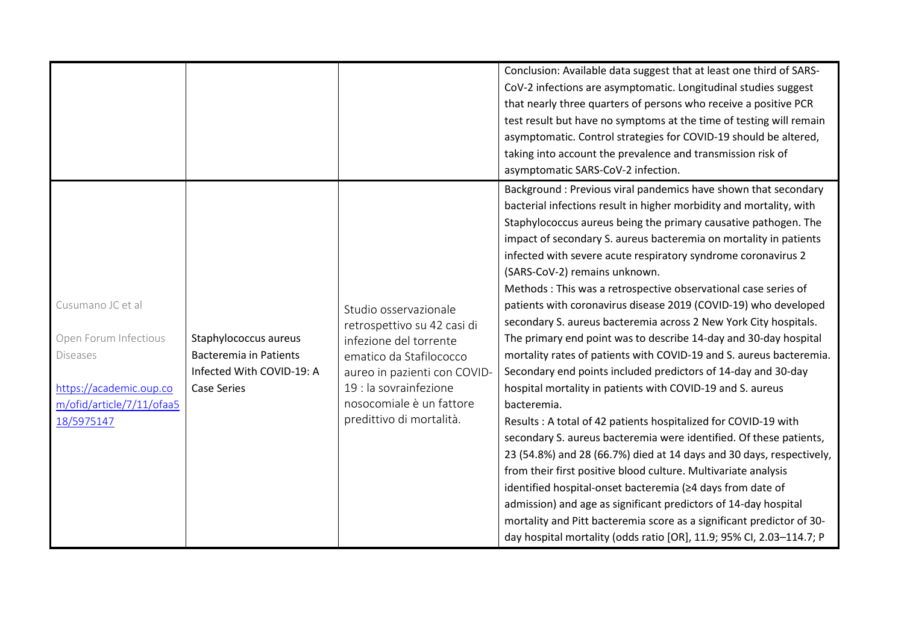|                                                                                                                                     |                                                                                                           |                                                                                                                                                                                                                             | Conclusion: Available data suggest that at least one third of SARS-<br>CoV-2 infections are asymptomatic. Longitudinal studies suggest<br>that nearly three quarters of persons who receive a positive PCR<br>test result but have no symptoms at the time of testing will remain<br>asymptomatic. Control strategies for COVID-19 should be altered,<br>taking into account the prevalence and transmission risk of<br>asymptomatic SARS-CoV-2 infection.                                                                                                                                                                                                                                                                                                                                                                                                                                                                                                                                                                                                                                                                                                                                                                                                                                                                                                                                                                                             |
|-------------------------------------------------------------------------------------------------------------------------------------|-----------------------------------------------------------------------------------------------------------|-----------------------------------------------------------------------------------------------------------------------------------------------------------------------------------------------------------------------------|--------------------------------------------------------------------------------------------------------------------------------------------------------------------------------------------------------------------------------------------------------------------------------------------------------------------------------------------------------------------------------------------------------------------------------------------------------------------------------------------------------------------------------------------------------------------------------------------------------------------------------------------------------------------------------------------------------------------------------------------------------------------------------------------------------------------------------------------------------------------------------------------------------------------------------------------------------------------------------------------------------------------------------------------------------------------------------------------------------------------------------------------------------------------------------------------------------------------------------------------------------------------------------------------------------------------------------------------------------------------------------------------------------------------------------------------------------|
| Cusumano JC et al<br>Open Forum Infectious<br><b>Diseases</b><br>https://academic.oup.co<br>m/ofid/article/7/11/ofaa5<br>18/5975147 | Staphylococcus aureus<br><b>Bacteremia in Patients</b><br>Infected With COVID-19: A<br><b>Case Series</b> | Studio osservazionale<br>retrospettivo su 42 casi di<br>infezione del torrente<br>ematico da Stafilococco<br>aureo in pazienti con COVID-<br>19 : la sovrainfezione<br>nosocomiale è un fattore<br>predittivo di mortalità. | Background : Previous viral pandemics have shown that secondary<br>bacterial infections result in higher morbidity and mortality, with<br>Staphylococcus aureus being the primary causative pathogen. The<br>impact of secondary S. aureus bacteremia on mortality in patients<br>infected with severe acute respiratory syndrome coronavirus 2<br>(SARS-CoV-2) remains unknown.<br>Methods: This was a retrospective observational case series of<br>patients with coronavirus disease 2019 (COVID-19) who developed<br>secondary S. aureus bacteremia across 2 New York City hospitals.<br>The primary end point was to describe 14-day and 30-day hospital<br>mortality rates of patients with COVID-19 and S. aureus bacteremia.<br>Secondary end points included predictors of 14-day and 30-day<br>hospital mortality in patients with COVID-19 and S. aureus<br>bacteremia.<br>Results: A total of 42 patients hospitalized for COVID-19 with<br>secondary S. aureus bacteremia were identified. Of these patients,<br>23 (54.8%) and 28 (66.7%) died at 14 days and 30 days, respectively,<br>from their first positive blood culture. Multivariate analysis<br>identified hospital-onset bacteremia (≥4 days from date of<br>admission) and age as significant predictors of 14-day hospital<br>mortality and Pitt bacteremia score as a significant predictor of 30-<br>day hospital mortality (odds ratio [OR], 11.9; 95% CI, 2.03-114.7; P |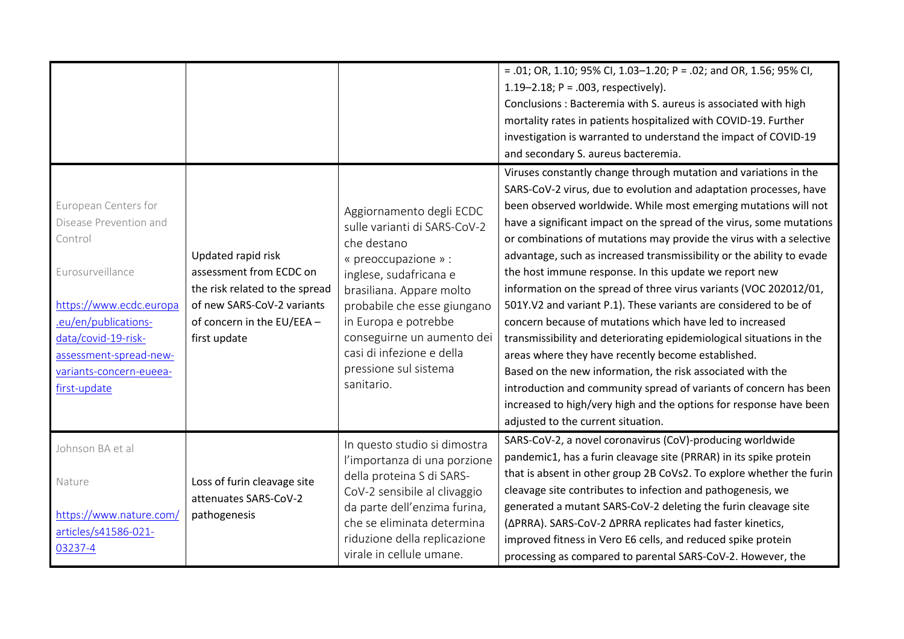|                                                                                                                                                                                                                              |                                                                                                                                                             |                                                                                                                                                                                                                                                                                                                | = .01; OR, 1.10; 95% CI, 1.03-1.20; P = .02; and OR, 1.56; 95% CI,<br>1.19-2.18; $P = .003$ , respectively).<br>Conclusions: Bacteremia with S. aureus is associated with high<br>mortality rates in patients hospitalized with COVID-19. Further<br>investigation is warranted to understand the impact of COVID-19<br>and secondary S. aureus bacteremia.                                                                                                                                                                                                                                                                                                                                                                                                                                                                                                                                                                                                                                                                                                                  |
|------------------------------------------------------------------------------------------------------------------------------------------------------------------------------------------------------------------------------|-------------------------------------------------------------------------------------------------------------------------------------------------------------|----------------------------------------------------------------------------------------------------------------------------------------------------------------------------------------------------------------------------------------------------------------------------------------------------------------|------------------------------------------------------------------------------------------------------------------------------------------------------------------------------------------------------------------------------------------------------------------------------------------------------------------------------------------------------------------------------------------------------------------------------------------------------------------------------------------------------------------------------------------------------------------------------------------------------------------------------------------------------------------------------------------------------------------------------------------------------------------------------------------------------------------------------------------------------------------------------------------------------------------------------------------------------------------------------------------------------------------------------------------------------------------------------|
| European Centers for<br>Disease Prevention and<br>Control<br>Eurosurveillance<br>https://www.ecdc.europa<br>.eu/en/publications-<br>data/covid-19-risk-<br>assessment-spread-new-<br>variants-concern-eueea-<br>first-update | Updated rapid risk<br>assessment from ECDC on<br>the risk related to the spread<br>of new SARS-CoV-2 variants<br>of concern in the EU/EEA -<br>first update | Aggiornamento degli ECDC<br>sulle varianti di SARS-CoV-2<br>che destano<br>« preoccupazione » :<br>inglese, sudafricana e<br>brasiliana. Appare molto<br>probabile che esse giungano<br>in Europa e potrebbe<br>conseguirne un aumento dei<br>casi di infezione e della<br>pressione sul sistema<br>sanitario. | Viruses constantly change through mutation and variations in the<br>SARS-CoV-2 virus, due to evolution and adaptation processes, have<br>been observed worldwide. While most emerging mutations will not<br>have a significant impact on the spread of the virus, some mutations<br>or combinations of mutations may provide the virus with a selective<br>advantage, such as increased transmissibility or the ability to evade<br>the host immune response. In this update we report new<br>information on the spread of three virus variants (VOC 202012/01,<br>501Y.V2 and variant P.1). These variants are considered to be of<br>concern because of mutations which have led to increased<br>transmissibility and deteriorating epidemiological situations in the<br>areas where they have recently become established.<br>Based on the new information, the risk associated with the<br>introduction and community spread of variants of concern has been<br>increased to high/very high and the options for response have been<br>adjusted to the current situation. |
| Johnson BA et al<br>Nature<br>https://www.nature.com/<br>articles/s41586-021-<br>03237-4                                                                                                                                     | Loss of furin cleavage site<br>attenuates SARS-CoV-2<br>pathogenesis                                                                                        | In questo studio si dimostra<br>l'importanza di una porzione<br>della proteina S di SARS-<br>CoV-2 sensibile al clivaggio<br>da parte dell'enzima furina,<br>che se eliminata determina<br>riduzione della replicazione<br>virale in cellule umane.                                                            | SARS-CoV-2, a novel coronavirus (CoV)-producing worldwide<br>pandemic1, has a furin cleavage site (PRRAR) in its spike protein<br>that is absent in other group 2B CoVs2. To explore whether the furin<br>cleavage site contributes to infection and pathogenesis, we<br>generated a mutant SARS-CoV-2 deleting the furin cleavage site<br>(ΔPRRA). SARS-CoV-2 ΔPRRA replicates had faster kinetics,<br>improved fitness in Vero E6 cells, and reduced spike protein<br>processing as compared to parental SARS-CoV-2. However, the                                                                                                                                                                                                                                                                                                                                                                                                                                                                                                                                          |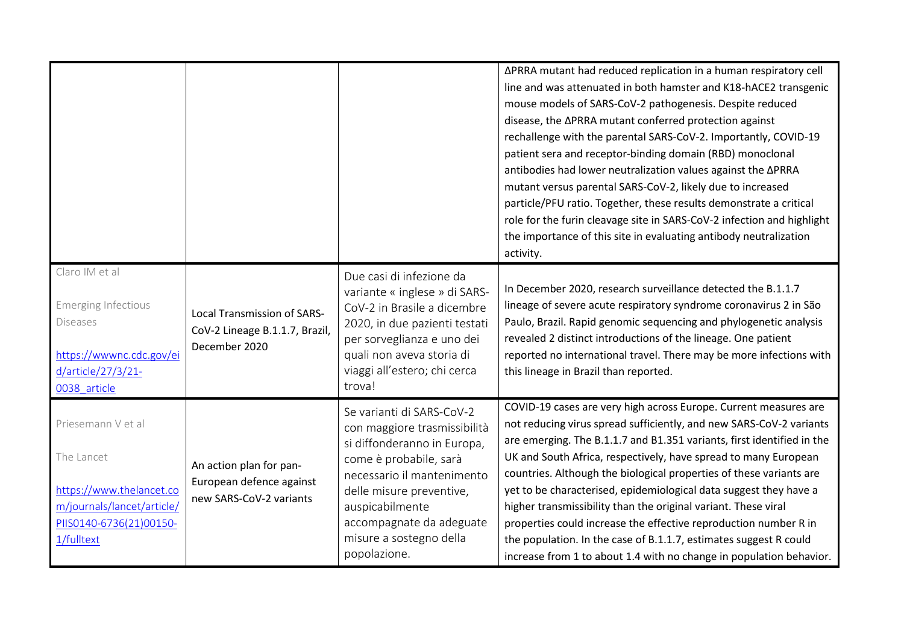|                                                                                                                                     |                                                                                       |                                                                                                                                                                                                                                                                        | ∆PRRA mutant had reduced replication in a human respiratory cell<br>line and was attenuated in both hamster and K18-hACE2 transgenic<br>mouse models of SARS-CoV-2 pathogenesis. Despite reduced<br>disease, the APRRA mutant conferred protection against<br>rechallenge with the parental SARS-CoV-2. Importantly, COVID-19<br>patient sera and receptor-binding domain (RBD) monoclonal<br>antibodies had lower neutralization values against the APRRA<br>mutant versus parental SARS-CoV-2, likely due to increased<br>particle/PFU ratio. Together, these results demonstrate a critical<br>role for the furin cleavage site in SARS-CoV-2 infection and highlight<br>the importance of this site in evaluating antibody neutralization<br>activity. |
|-------------------------------------------------------------------------------------------------------------------------------------|---------------------------------------------------------------------------------------|------------------------------------------------------------------------------------------------------------------------------------------------------------------------------------------------------------------------------------------------------------------------|------------------------------------------------------------------------------------------------------------------------------------------------------------------------------------------------------------------------------------------------------------------------------------------------------------------------------------------------------------------------------------------------------------------------------------------------------------------------------------------------------------------------------------------------------------------------------------------------------------------------------------------------------------------------------------------------------------------------------------------------------------|
| Claro IM et al<br><b>Emerging Infectious</b><br><b>Diseases</b><br>https://wwwnc.cdc.gov/ei<br>d/article/27/3/21-<br>0038 article   | <b>Local Transmission of SARS-</b><br>CoV-2 Lineage B.1.1.7, Brazil,<br>December 2020 | Due casi di infezione da<br>variante « inglese » di SARS-<br>CoV-2 in Brasile a dicembre<br>2020, in due pazienti testati<br>per sorveglianza e uno dei<br>quali non aveva storia di<br>viaggi all'estero; chi cerca<br>trova!                                         | In December 2020, research surveillance detected the B.1.1.7<br>lineage of severe acute respiratory syndrome coronavirus 2 in São<br>Paulo, Brazil. Rapid genomic sequencing and phylogenetic analysis<br>revealed 2 distinct introductions of the lineage. One patient<br>reported no international travel. There may be more infections with<br>this lineage in Brazil than reported.                                                                                                                                                                                                                                                                                                                                                                    |
| Priesemann V et al<br>The Lancet<br>https://www.thelancet.co<br>m/journals/lancet/article/<br>PIIS0140-6736(21)00150-<br>1/fulltext | An action plan for pan-<br>European defence against<br>new SARS-CoV-2 variants        | Se varianti di SARS-CoV-2<br>con maggiore trasmissibilità<br>si diffonderanno in Europa,<br>come è probabile, sarà<br>necessario il mantenimento<br>delle misure preventive,<br>auspicabilmente<br>accompagnate da adeguate<br>misure a sostegno della<br>popolazione. | COVID-19 cases are very high across Europe. Current measures are<br>not reducing virus spread sufficiently, and new SARS-CoV-2 variants<br>are emerging. The B.1.1.7 and B1.351 variants, first identified in the<br>UK and South Africa, respectively, have spread to many European<br>countries. Although the biological properties of these variants are<br>yet to be characterised, epidemiological data suggest they have a<br>higher transmissibility than the original variant. These viral<br>properties could increase the effective reproduction number R in<br>the population. In the case of B.1.1.7, estimates suggest R could<br>increase from 1 to about 1.4 with no change in population behavior.                                         |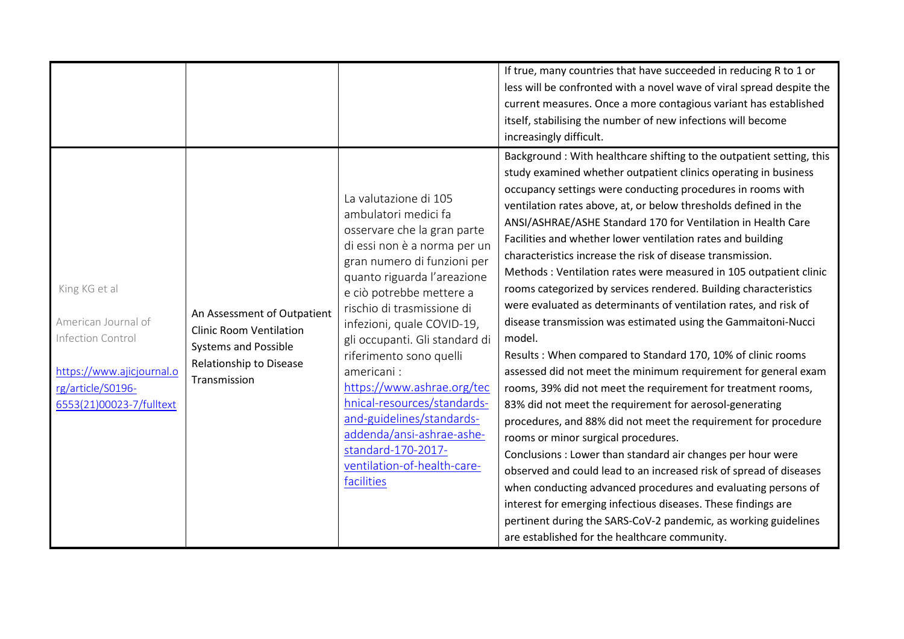|                                                                                                                                         |                                                                                                                                         |                                                                                                                                                                                                                                                                                                                                                                                                                                                                                                                                         | If true, many countries that have succeeded in reducing R to 1 or<br>less will be confronted with a novel wave of viral spread despite the<br>current measures. Once a more contagious variant has established<br>itself, stabilising the number of new infections will become<br>increasingly difficult.                                                                                                                                                                                                                                                                                                                                                                                                                                                                                                                                                                                                                                                                                                                                                                                                                                                                                                                                                                                                                                                                                                                                                                                                                      |
|-----------------------------------------------------------------------------------------------------------------------------------------|-----------------------------------------------------------------------------------------------------------------------------------------|-----------------------------------------------------------------------------------------------------------------------------------------------------------------------------------------------------------------------------------------------------------------------------------------------------------------------------------------------------------------------------------------------------------------------------------------------------------------------------------------------------------------------------------------|--------------------------------------------------------------------------------------------------------------------------------------------------------------------------------------------------------------------------------------------------------------------------------------------------------------------------------------------------------------------------------------------------------------------------------------------------------------------------------------------------------------------------------------------------------------------------------------------------------------------------------------------------------------------------------------------------------------------------------------------------------------------------------------------------------------------------------------------------------------------------------------------------------------------------------------------------------------------------------------------------------------------------------------------------------------------------------------------------------------------------------------------------------------------------------------------------------------------------------------------------------------------------------------------------------------------------------------------------------------------------------------------------------------------------------------------------------------------------------------------------------------------------------|
| King KG et al<br>American Journal of<br>Infection Control<br>https://www.ajicjournal.o<br>rg/article/S0196-<br>6553(21)00023-7/fulltext | An Assessment of Outpatient<br><b>Clinic Room Ventilation</b><br><b>Systems and Possible</b><br>Relationship to Disease<br>Transmission | La valutazione di 105<br>ambulatori medici fa<br>osservare che la gran parte<br>di essi non è a norma per un<br>gran numero di funzioni per<br>quanto riguarda l'areazione<br>e ciò potrebbe mettere a<br>rischio di trasmissione di<br>infezioni, quale COVID-19,<br>gli occupanti. Gli standard di<br>riferimento sono quelli<br>americani:<br>https://www.ashrae.org/tec<br>hnical-resources/standards-<br>and-guidelines/standards-<br>addenda/ansi-ashrae-ashe-<br>standard-170-2017-<br>ventilation-of-health-care-<br>facilities | Background: With healthcare shifting to the outpatient setting, this<br>study examined whether outpatient clinics operating in business<br>occupancy settings were conducting procedures in rooms with<br>ventilation rates above, at, or below thresholds defined in the<br>ANSI/ASHRAE/ASHE Standard 170 for Ventilation in Health Care<br>Facilities and whether lower ventilation rates and building<br>characteristics increase the risk of disease transmission.<br>Methods: Ventilation rates were measured in 105 outpatient clinic<br>rooms categorized by services rendered. Building characteristics<br>were evaluated as determinants of ventilation rates, and risk of<br>disease transmission was estimated using the Gammaitoni-Nucci<br>model.<br>Results: When compared to Standard 170, 10% of clinic rooms<br>assessed did not meet the minimum requirement for general exam<br>rooms, 39% did not meet the requirement for treatment rooms,<br>83% did not meet the requirement for aerosol-generating<br>procedures, and 88% did not meet the requirement for procedure<br>rooms or minor surgical procedures.<br>Conclusions : Lower than standard air changes per hour were<br>observed and could lead to an increased risk of spread of diseases<br>when conducting advanced procedures and evaluating persons of<br>interest for emerging infectious diseases. These findings are<br>pertinent during the SARS-CoV-2 pandemic, as working guidelines<br>are established for the healthcare community. |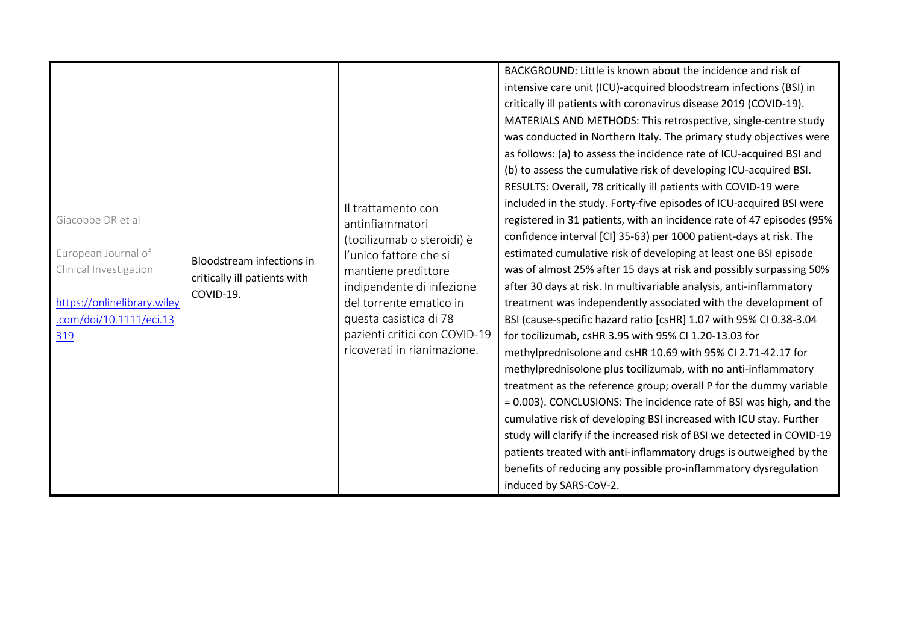|                             |                                           |                               | BACKGROUND: Little is known about the incidence and risk of             |
|-----------------------------|-------------------------------------------|-------------------------------|-------------------------------------------------------------------------|
|                             |                                           |                               | intensive care unit (ICU)-acquired bloodstream infections (BSI) in      |
|                             |                                           |                               | critically ill patients with coronavirus disease 2019 (COVID-19).       |
|                             |                                           |                               | MATERIALS AND METHODS: This retrospective, single-centre study          |
|                             |                                           |                               | was conducted in Northern Italy. The primary study objectives were      |
|                             |                                           |                               | as follows: (a) to assess the incidence rate of ICU-acquired BSI and    |
|                             |                                           |                               | (b) to assess the cumulative risk of developing ICU-acquired BSI.       |
|                             |                                           |                               | RESULTS: Overall, 78 critically ill patients with COVID-19 were         |
|                             |                                           | Il trattamento con            | included in the study. Forty-five episodes of ICU-acquired BSI were     |
| Giacobbe DR et al           |                                           | antinfiammatori               | registered in 31 patients, with an incidence rate of 47 episodes (95%   |
|                             |                                           | (tocilizumab o steroidi) è    | confidence interval [CI] 35-63) per 1000 patient-days at risk. The      |
| European Journal of         |                                           | l'unico fattore che si        | estimated cumulative risk of developing at least one BSI episode        |
| Clinical Investigation      | <b>Bloodstream infections in</b>          | mantiene predittore           | was of almost 25% after 15 days at risk and possibly surpassing 50%     |
|                             | critically ill patients with<br>COVID-19. | indipendente di infezione     | after 30 days at risk. In multivariable analysis, anti-inflammatory     |
| https://onlinelibrary.wiley |                                           | del torrente ematico in       | treatment was independently associated with the development of          |
| .com/doi/10.1111/eci.13     |                                           | questa casistica di 78        | BSI (cause-specific hazard ratio [csHR] 1.07 with 95% CI 0.38-3.04      |
| 319                         |                                           | pazienti critici con COVID-19 | for tocilizumab, csHR 3.95 with 95% CI 1.20-13.03 for                   |
|                             |                                           | ricoverati in rianimazione.   | methylprednisolone and csHR 10.69 with 95% CI 2.71-42.17 for            |
|                             |                                           |                               | methylprednisolone plus tocilizumab, with no anti-inflammatory          |
|                             |                                           |                               | treatment as the reference group; overall P for the dummy variable      |
|                             |                                           |                               | = 0.003). CONCLUSIONS: The incidence rate of BSI was high, and the      |
|                             |                                           |                               | cumulative risk of developing BSI increased with ICU stay. Further      |
|                             |                                           |                               | study will clarify if the increased risk of BSI we detected in COVID-19 |
|                             |                                           |                               | patients treated with anti-inflammatory drugs is outweighed by the      |
|                             |                                           |                               | benefits of reducing any possible pro-inflammatory dysregulation        |
|                             |                                           |                               | induced by SARS-CoV-2.                                                  |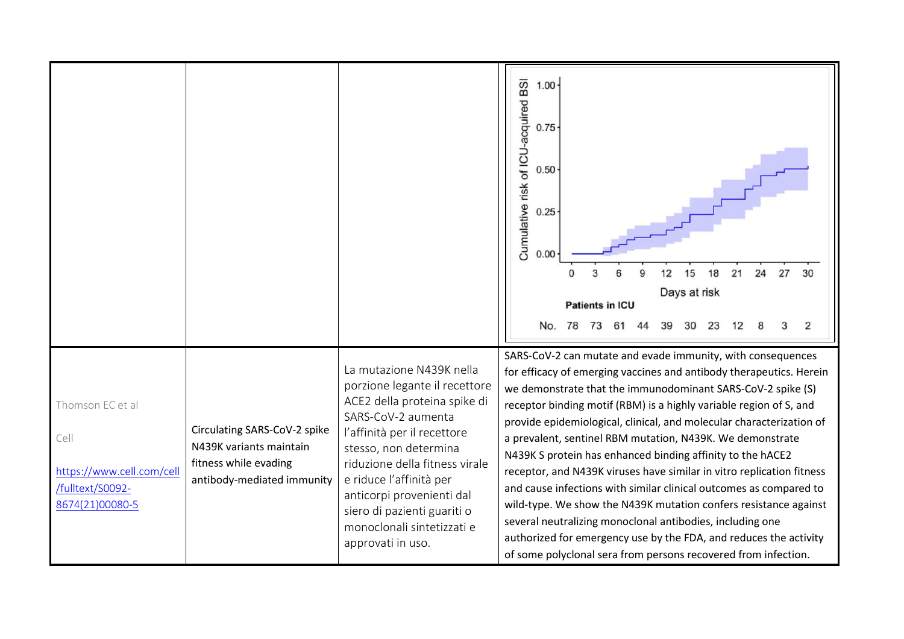|                                                                                              |                                                                                                                |                                                                                                                                                                                                                                                                                                                                                     | BSI<br>1.00<br>Cumulative risk of ICU-acquired<br>0.75<br>0.50<br>0.25<br>0.00<br>15<br>18<br>21<br>24<br>27<br>12<br>30<br>Days at risk<br><b>Patients in ICU</b>                                                                                                                                                                                                                                                                                                                                                                                                                                                                                                                                                                                                                                                                                                                                |
|----------------------------------------------------------------------------------------------|----------------------------------------------------------------------------------------------------------------|-----------------------------------------------------------------------------------------------------------------------------------------------------------------------------------------------------------------------------------------------------------------------------------------------------------------------------------------------------|---------------------------------------------------------------------------------------------------------------------------------------------------------------------------------------------------------------------------------------------------------------------------------------------------------------------------------------------------------------------------------------------------------------------------------------------------------------------------------------------------------------------------------------------------------------------------------------------------------------------------------------------------------------------------------------------------------------------------------------------------------------------------------------------------------------------------------------------------------------------------------------------------|
|                                                                                              |                                                                                                                |                                                                                                                                                                                                                                                                                                                                                     | No. 78<br>73<br>2<br>39<br>30<br>23<br>61                                                                                                                                                                                                                                                                                                                                                                                                                                                                                                                                                                                                                                                                                                                                                                                                                                                         |
| Thomson EC et al<br>Cell<br>https://www.cell.com/cell<br>/fulltext/S0092-<br>8674(21)00080-5 | Circulating SARS-CoV-2 spike<br>N439K variants maintain<br>fitness while evading<br>antibody-mediated immunity | La mutazione N439K nella<br>porzione legante il recettore<br>ACE2 della proteina spike di<br>SARS-CoV-2 aumenta<br>l'affinità per il recettore<br>stesso, non determina<br>riduzione della fitness virale<br>e riduce l'affinità per<br>anticorpi provenienti dal<br>siero di pazienti guariti o<br>monoclonali sintetizzati e<br>approvati in uso. | SARS-CoV-2 can mutate and evade immunity, with consequences<br>for efficacy of emerging vaccines and antibody therapeutics. Herein<br>we demonstrate that the immunodominant SARS-CoV-2 spike (S)<br>receptor binding motif (RBM) is a highly variable region of S, and<br>provide epidemiological, clinical, and molecular characterization of<br>a prevalent, sentinel RBM mutation, N439K. We demonstrate<br>N439K S protein has enhanced binding affinity to the hACE2<br>receptor, and N439K viruses have similar in vitro replication fitness<br>and cause infections with similar clinical outcomes as compared to<br>wild-type. We show the N439K mutation confers resistance against<br>several neutralizing monoclonal antibodies, including one<br>authorized for emergency use by the FDA, and reduces the activity<br>of some polyclonal sera from persons recovered from infection. |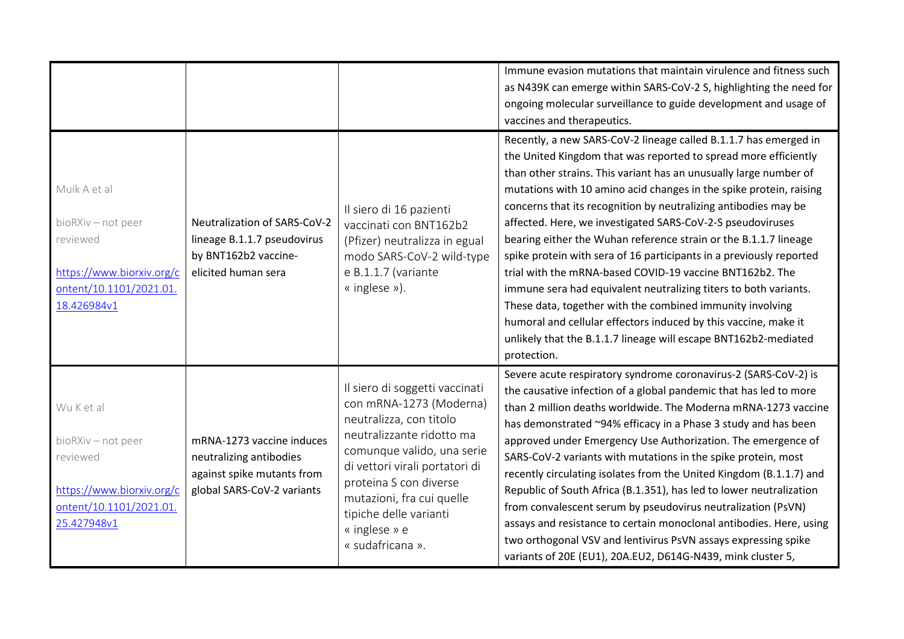|                                                                                                                       |                                                                                                                  |                                                                                                                                                                                                                                                                                                         | Immune evasion mutations that maintain virulence and fitness such<br>as N439K can emerge within SARS-CoV-2 S, highlighting the need for<br>ongoing molecular surveillance to guide development and usage of<br>vaccines and therapeutics.                                                                                                                                                                                                                                                                                                                                                                                                                                                                                                                                                                                                                                                                    |
|-----------------------------------------------------------------------------------------------------------------------|------------------------------------------------------------------------------------------------------------------|---------------------------------------------------------------------------------------------------------------------------------------------------------------------------------------------------------------------------------------------------------------------------------------------------------|--------------------------------------------------------------------------------------------------------------------------------------------------------------------------------------------------------------------------------------------------------------------------------------------------------------------------------------------------------------------------------------------------------------------------------------------------------------------------------------------------------------------------------------------------------------------------------------------------------------------------------------------------------------------------------------------------------------------------------------------------------------------------------------------------------------------------------------------------------------------------------------------------------------|
| Muik A et al<br>bioRXiv - not peer<br>reviewed<br>https://www.biorxiv.org/c<br>ontent/10.1101/2021.01.<br>18.426984v1 | Neutralization of SARS-CoV-2<br>lineage B.1.1.7 pseudovirus<br>by BNT162b2 vaccine-<br>elicited human sera       | Il siero di 16 pazienti<br>vaccinati con BNT162b2<br>(Pfizer) neutralizza in egual<br>modo SARS-CoV-2 wild-type<br>e B.1.1.7 (variante<br>« inglese »).                                                                                                                                                 | Recently, a new SARS-CoV-2 lineage called B.1.1.7 has emerged in<br>the United Kingdom that was reported to spread more efficiently<br>than other strains. This variant has an unusually large number of<br>mutations with 10 amino acid changes in the spike protein, raising<br>concerns that its recognition by neutralizing antibodies may be<br>affected. Here, we investigated SARS-CoV-2-S pseudoviruses<br>bearing either the Wuhan reference strain or the B.1.1.7 lineage<br>spike protein with sera of 16 participants in a previously reported<br>trial with the mRNA-based COVID-19 vaccine BNT162b2. The<br>immune sera had equivalent neutralizing titers to both variants.<br>These data, together with the combined immunity involving<br>humoral and cellular effectors induced by this vaccine, make it<br>unlikely that the B.1.1.7 lineage will escape BNT162b2-mediated<br>protection. |
| Wu K et al<br>bioRXiv - not peer<br>reviewed<br>https://www.biorxiv.org/c<br>ontent/10.1101/2021.01.<br>25.427948v1   | mRNA-1273 vaccine induces<br>neutralizing antibodies<br>against spike mutants from<br>global SARS-CoV-2 variants | Il siero di soggetti vaccinati<br>con mRNA-1273 (Moderna)<br>neutralizza, con titolo<br>neutralizzante ridotto ma<br>comunque valido, una serie<br>di vettori virali portatori di<br>proteina S con diverse<br>mutazioni, fra cui quelle<br>tipiche delle varianti<br>« inglese » e<br>« sudafricana ». | Severe acute respiratory syndrome coronavirus-2 (SARS-CoV-2) is<br>the causative infection of a global pandemic that has led to more<br>than 2 million deaths worldwide. The Moderna mRNA-1273 vaccine<br>has demonstrated ~94% efficacy in a Phase 3 study and has been<br>approved under Emergency Use Authorization. The emergence of<br>SARS-CoV-2 variants with mutations in the spike protein, most<br>recently circulating isolates from the United Kingdom (B.1.1.7) and<br>Republic of South Africa (B.1.351), has led to lower neutralization<br>from convalescent serum by pseudovirus neutralization (PsVN)<br>assays and resistance to certain monoclonal antibodies. Here, using<br>two orthogonal VSV and lentivirus PsVN assays expressing spike<br>variants of 20E (EU1), 20A.EU2, D614G-N439, mink cluster 5,                                                                              |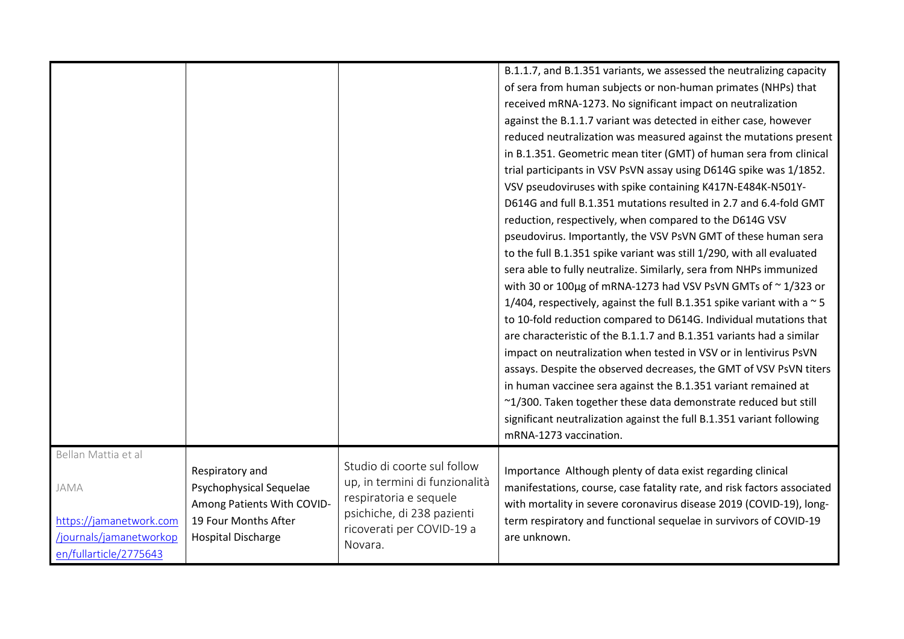|                                                                                                             |                                                                                                                               |                                                                                                                                                               | B.1.1.7, and B.1.351 variants, we assessed the neutralizing capacity<br>of sera from human subjects or non-human primates (NHPs) that<br>received mRNA-1273. No significant impact on neutralization<br>against the B.1.1.7 variant was detected in either case, however<br>reduced neutralization was measured against the mutations present<br>in B.1.351. Geometric mean titer (GMT) of human sera from clinical<br>trial participants in VSV PsVN assay using D614G spike was 1/1852.<br>VSV pseudoviruses with spike containing K417N-E484K-N501Y-<br>D614G and full B.1.351 mutations resulted in 2.7 and 6.4-fold GMT<br>reduction, respectively, when compared to the D614G VSV<br>pseudovirus. Importantly, the VSV PsVN GMT of these human sera<br>to the full B.1.351 spike variant was still 1/290, with all evaluated<br>sera able to fully neutralize. Similarly, sera from NHPs immunized<br>with 30 or 100µg of mRNA-1273 had VSV PsVN GMTs of $\sim$ 1/323 or<br>1/404, respectively, against the full B.1.351 spike variant with a $\sim$ 5<br>to 10-fold reduction compared to D614G. Individual mutations that<br>are characteristic of the B.1.1.7 and B.1.351 variants had a similar<br>impact on neutralization when tested in VSV or in lentivirus PsVN<br>assays. Despite the observed decreases, the GMT of VSV PsVN titers<br>in human vaccinee sera against the B.1.351 variant remained at<br>~1/300. Taken together these data demonstrate reduced but still<br>significant neutralization against the full B.1.351 variant following<br>mRNA-1273 vaccination. |
|-------------------------------------------------------------------------------------------------------------|-------------------------------------------------------------------------------------------------------------------------------|---------------------------------------------------------------------------------------------------------------------------------------------------------------|-----------------------------------------------------------------------------------------------------------------------------------------------------------------------------------------------------------------------------------------------------------------------------------------------------------------------------------------------------------------------------------------------------------------------------------------------------------------------------------------------------------------------------------------------------------------------------------------------------------------------------------------------------------------------------------------------------------------------------------------------------------------------------------------------------------------------------------------------------------------------------------------------------------------------------------------------------------------------------------------------------------------------------------------------------------------------------------------------------------------------------------------------------------------------------------------------------------------------------------------------------------------------------------------------------------------------------------------------------------------------------------------------------------------------------------------------------------------------------------------------------------------------------------------------------------------------------------------------|
| Bellan Mattia et al<br>JAMA<br>https://jamanetwork.com<br>/journals/jamanetworkop<br>en/fullarticle/2775643 | Respiratory and<br>Psychophysical Sequelae<br>Among Patients With COVID-<br>19 Four Months After<br><b>Hospital Discharge</b> | Studio di coorte sul follow<br>up, in termini di funzionalità<br>respiratoria e sequele<br>psichiche, di 238 pazienti<br>ricoverati per COVID-19 a<br>Novara. | Importance Although plenty of data exist regarding clinical<br>manifestations, course, case fatality rate, and risk factors associated<br>with mortality in severe coronavirus disease 2019 (COVID-19), long-<br>term respiratory and functional sequelae in survivors of COVID-19<br>are unknown.                                                                                                                                                                                                                                                                                                                                                                                                                                                                                                                                                                                                                                                                                                                                                                                                                                                                                                                                                                                                                                                                                                                                                                                                                                                                                            |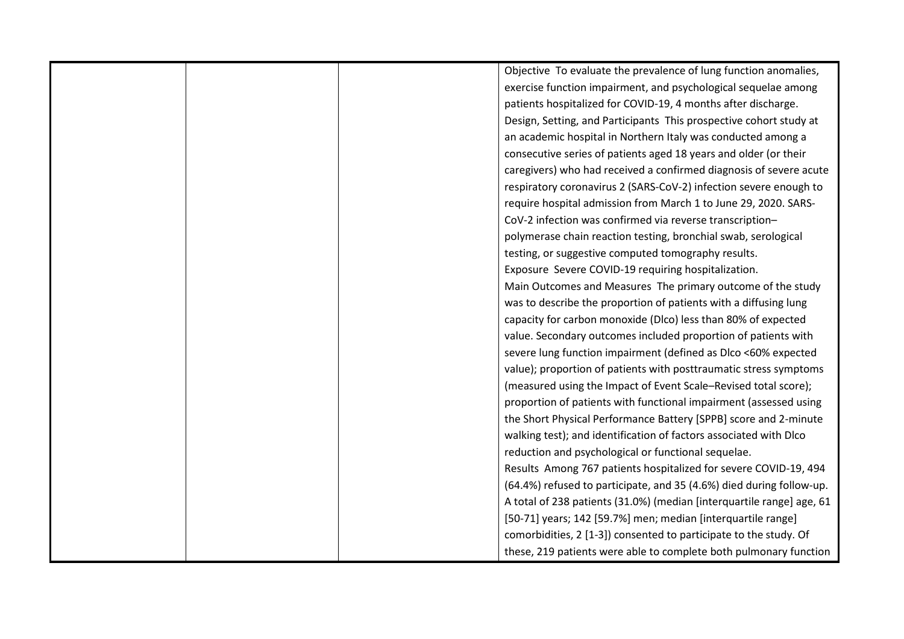|  | Objective To evaluate the prevalence of lung function anomalies,      |
|--|-----------------------------------------------------------------------|
|  | exercise function impairment, and psychological sequelae among        |
|  | patients hospitalized for COVID-19, 4 months after discharge.         |
|  | Design, Setting, and Participants This prospective cohort study at    |
|  | an academic hospital in Northern Italy was conducted among a          |
|  | consecutive series of patients aged 18 years and older (or their      |
|  | caregivers) who had received a confirmed diagnosis of severe acute    |
|  | respiratory coronavirus 2 (SARS-CoV-2) infection severe enough to     |
|  | require hospital admission from March 1 to June 29, 2020. SARS-       |
|  | CoV-2 infection was confirmed via reverse transcription-              |
|  | polymerase chain reaction testing, bronchial swab, serological        |
|  | testing, or suggestive computed tomography results.                   |
|  | Exposure Severe COVID-19 requiring hospitalization.                   |
|  | Main Outcomes and Measures The primary outcome of the study           |
|  | was to describe the proportion of patients with a diffusing lung      |
|  | capacity for carbon monoxide (Dlco) less than 80% of expected         |
|  | value. Secondary outcomes included proportion of patients with        |
|  | severe lung function impairment (defined as Dlco <60% expected        |
|  | value); proportion of patients with posttraumatic stress symptoms     |
|  | (measured using the Impact of Event Scale-Revised total score);       |
|  | proportion of patients with functional impairment (assessed using     |
|  | the Short Physical Performance Battery [SPPB] score and 2-minute      |
|  | walking test); and identification of factors associated with Dlco     |
|  | reduction and psychological or functional sequelae.                   |
|  | Results Among 767 patients hospitalized for severe COVID-19, 494      |
|  | (64.4%) refused to participate, and 35 (4.6%) died during follow-up.  |
|  | A total of 238 patients (31.0%) (median [interquartile range] age, 61 |
|  | [50-71] years; 142 [59.7%] men; median [interquartile range]          |
|  | comorbidities, 2 [1-3]) consented to participate to the study. Of     |
|  | these, 219 patients were able to complete both pulmonary function     |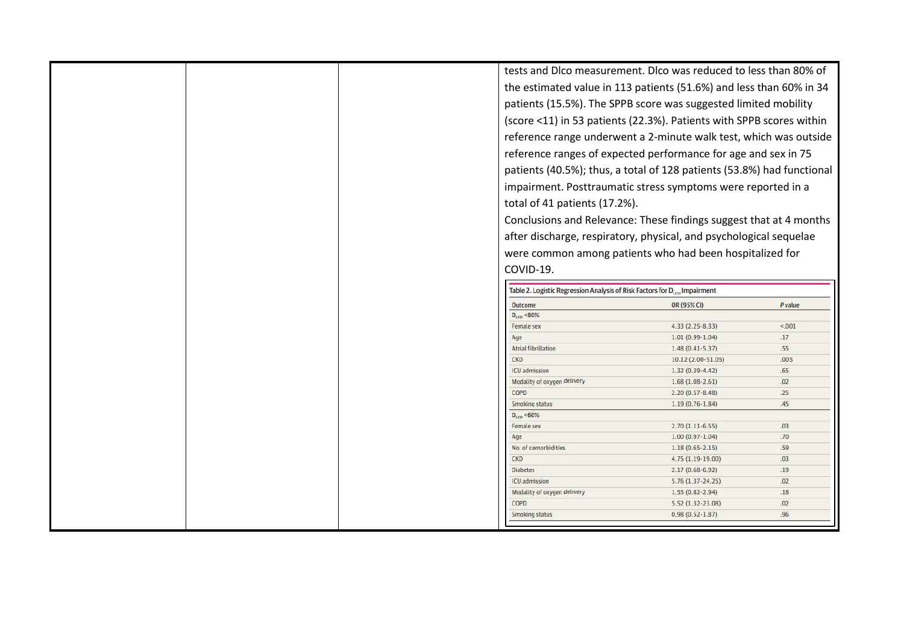| tests and Dico measurement. Dico was reduced to less than 80% of<br>the estimated value in 113 patients (51.6%) and less than 60% in 34<br>patients (15.5%). The SPPB score was suggested limited mobility<br>(score <11) in 53 patients (22.3%). Patients with SPPB scores within<br>reference range underwent a 2-minute walk test, which was outside<br>reference ranges of expected performance for age and sex in 75<br>patients (40.5%); thus, a total of 128 patients (53.8%) had functional<br>impairment. Posttraumatic stress symptoms were reported in a<br>total of 41 patients (17.2%). |
|------------------------------------------------------------------------------------------------------------------------------------------------------------------------------------------------------------------------------------------------------------------------------------------------------------------------------------------------------------------------------------------------------------------------------------------------------------------------------------------------------------------------------------------------------------------------------------------------------|
|                                                                                                                                                                                                                                                                                                                                                                                                                                                                                                                                                                                                      |
|                                                                                                                                                                                                                                                                                                                                                                                                                                                                                                                                                                                                      |
|                                                                                                                                                                                                                                                                                                                                                                                                                                                                                                                                                                                                      |
|                                                                                                                                                                                                                                                                                                                                                                                                                                                                                                                                                                                                      |
|                                                                                                                                                                                                                                                                                                                                                                                                                                                                                                                                                                                                      |
|                                                                                                                                                                                                                                                                                                                                                                                                                                                                                                                                                                                                      |
|                                                                                                                                                                                                                                                                                                                                                                                                                                                                                                                                                                                                      |
|                                                                                                                                                                                                                                                                                                                                                                                                                                                                                                                                                                                                      |
|                                                                                                                                                                                                                                                                                                                                                                                                                                                                                                                                                                                                      |
|                                                                                                                                                                                                                                                                                                                                                                                                                                                                                                                                                                                                      |
|                                                                                                                                                                                                                                                                                                                                                                                                                                                                                                                                                                                                      |
|                                                                                                                                                                                                                                                                                                                                                                                                                                                                                                                                                                                                      |
| Conclusions and Relevance: These findings suggest that at 4 months                                                                                                                                                                                                                                                                                                                                                                                                                                                                                                                                   |
| after discharge, respiratory, physical, and psychological sequelae                                                                                                                                                                                                                                                                                                                                                                                                                                                                                                                                   |
| were common among patients who had been hospitalized for                                                                                                                                                                                                                                                                                                                                                                                                                                                                                                                                             |
|                                                                                                                                                                                                                                                                                                                                                                                                                                                                                                                                                                                                      |
|                                                                                                                                                                                                                                                                                                                                                                                                                                                                                                                                                                                                      |
|                                                                                                                                                                                                                                                                                                                                                                                                                                                                                                                                                                                                      |
| Table 2. Logistic Regression Analysis of Risk Factors for D.  Impairment                                                                                                                                                                                                                                                                                                                                                                                                                                                                                                                             |
| OR (95% CI)                                                                                                                                                                                                                                                                                                                                                                                                                                                                                                                                                                                          |
| $4.33(2.25-8.33)$                                                                                                                                                                                                                                                                                                                                                                                                                                                                                                                                                                                    |
| $1.01(0.99 - 1.04)$                                                                                                                                                                                                                                                                                                                                                                                                                                                                                                                                                                                  |
| $1.48(0.41 - 5.37)$                                                                                                                                                                                                                                                                                                                                                                                                                                                                                                                                                                                  |
|                                                                                                                                                                                                                                                                                                                                                                                                                                                                                                                                                                                                      |
| 10.12 (2.00-51.05)                                                                                                                                                                                                                                                                                                                                                                                                                                                                                                                                                                                   |
| $1.32(0.39 - 4.42)$                                                                                                                                                                                                                                                                                                                                                                                                                                                                                                                                                                                  |
| $1.68(1.08-2.61)$                                                                                                                                                                                                                                                                                                                                                                                                                                                                                                                                                                                    |
| $2.20(0.57 - 8.48)$                                                                                                                                                                                                                                                                                                                                                                                                                                                                                                                                                                                  |
| $1.19(0.76 - 1.84)$                                                                                                                                                                                                                                                                                                                                                                                                                                                                                                                                                                                  |
|                                                                                                                                                                                                                                                                                                                                                                                                                                                                                                                                                                                                      |
| $2.70(1.11-6.55)$                                                                                                                                                                                                                                                                                                                                                                                                                                                                                                                                                                                    |
| $1.00(0.97 - 1.04)$                                                                                                                                                                                                                                                                                                                                                                                                                                                                                                                                                                                  |
| $1.18(0.65 - 2.15)$                                                                                                                                                                                                                                                                                                                                                                                                                                                                                                                                                                                  |
| 4.75 (1.19-19.00)                                                                                                                                                                                                                                                                                                                                                                                                                                                                                                                                                                                    |
| $2.17(0.68-6.92)$                                                                                                                                                                                                                                                                                                                                                                                                                                                                                                                                                                                    |
| $5.76(1.37 - 24.25)$                                                                                                                                                                                                                                                                                                                                                                                                                                                                                                                                                                                 |
| $1.55(0.82 - 2.94)$                                                                                                                                                                                                                                                                                                                                                                                                                                                                                                                                                                                  |
| 5.52 (1.32-23.08)<br>$0.98(0.52 - 1.87)$                                                                                                                                                                                                                                                                                                                                                                                                                                                                                                                                                             |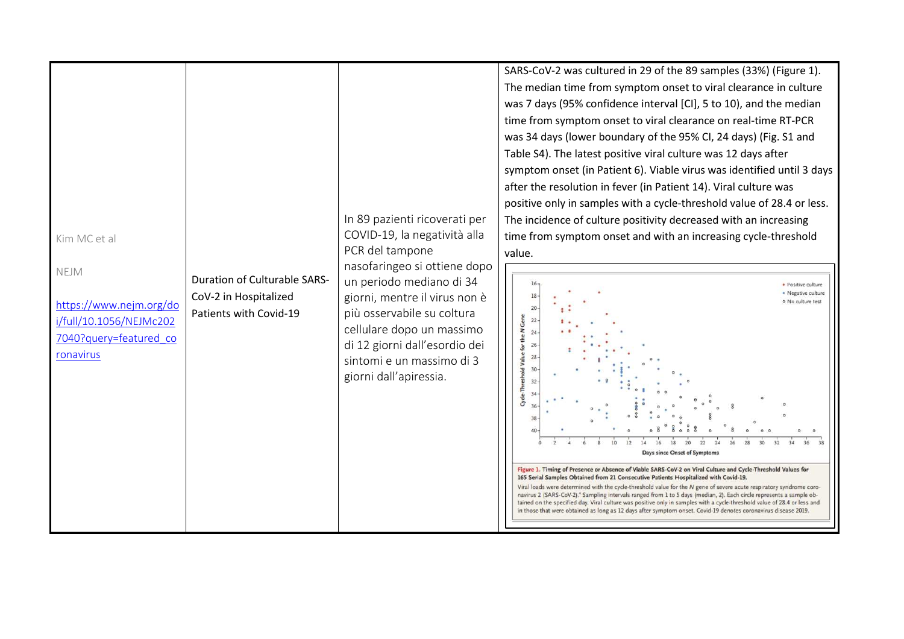| Kim MC et al<br>NEJM<br>https://www.nejm.org/do<br>i/full/10.1056/NEJMc202 | <b>Duration of Culturable SARS-</b><br>CoV-2 in Hospitalized<br>Patients with Covid-19 | In 89 pazienti ricoverati per<br>COVID-19, la negatività alla<br>PCR del tampone<br>nasofaringeo si ottiene dopo<br>un periodo mediano di 34<br>giorni, mentre il virus non è<br>più osservabile su coltura<br>cellulare dopo un massimo | SARS-CoV-2 was cultured in 29 of the 89 samples (33%) (Figure 1).<br>The median time from symptom onset to viral clearance in culture<br>was 7 days (95% confidence interval [CI], 5 to 10), and the median<br>time from symptom onset to viral clearance on real-time RT-PCR<br>was 34 days (lower boundary of the 95% CI, 24 days) (Fig. S1 and<br>Table S4). The latest positive viral culture was 12 days after<br>symptom onset (in Patient 6). Viable virus was identified until 3 days<br>after the resolution in fever (in Patient 14). Viral culture was<br>positive only in samples with a cycle-threshold value of 28.4 or less.<br>The incidence of culture positivity decreased with an increasing<br>time from symptom onset and with an increasing cycle-threshold<br>value.<br>20<br>$22 -$                  | · Positive culture<br>· Negative culture<br>o No culture test |
|----------------------------------------------------------------------------|----------------------------------------------------------------------------------------|------------------------------------------------------------------------------------------------------------------------------------------------------------------------------------------------------------------------------------------|------------------------------------------------------------------------------------------------------------------------------------------------------------------------------------------------------------------------------------------------------------------------------------------------------------------------------------------------------------------------------------------------------------------------------------------------------------------------------------------------------------------------------------------------------------------------------------------------------------------------------------------------------------------------------------------------------------------------------------------------------------------------------------------------------------------------------|---------------------------------------------------------------|
| 7040?query=featured co<br>ronavirus                                        |                                                                                        | di 12 giorni dall'esordio dei<br>sintomi e un massimo di 3<br>giorni dall'apiressia.                                                                                                                                                     | for the N <sub>Gene</sub><br>Cycle-Threshold Value<br>28<br>30<br>32<br>28<br>Days since Onset of Symptoms<br>Figure 1. Timing of Presence or Absence of Viable SARS-CoV-2 on Viral Culture and Cycle-Threshold Values for<br>165 Serial Samples Obtained from 21 Consecutive Patients Hospitalized with Covid-19.<br>Viral loads were determined with the cycle-threshold value for the N gene of severe acute respiratory syndrome coro-<br>navirus 2 (SARS-CoV-2). <sup>4</sup> Sampling intervals ranged from 1 to 5 days (median, 2). Each circle represents a sample ob-<br>tained on the specified day. Viral culture was positive only in samples with a cycle-threshold value of 28.4 or less and<br>in those that were obtained as long as 12 days after symptom onset. Covid-19 denotes coronavirus disease 2019. |                                                               |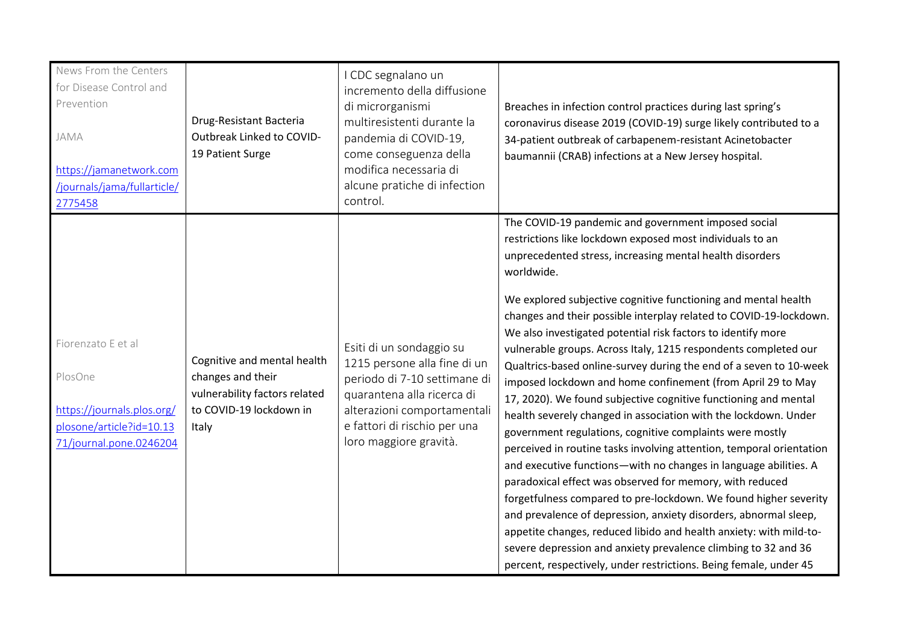| News From the Centers<br>for Disease Control and<br>Prevention<br>JAMA<br>https://jamanetwork.com<br>/journals/jama/fullarticle/<br>2775458 | Drug-Resistant Bacteria<br>Outbreak Linked to COVID-<br>19 Patient Surge                                              | I CDC segnalano un<br>incremento della diffusione<br>di microrganismi<br>multiresistenti durante la<br>pandemia di COVID-19,<br>come conseguenza della<br>modifica necessaria di<br>alcune pratiche di infection<br>control. | Breaches in infection control practices during last spring's<br>coronavirus disease 2019 (COVID-19) surge likely contributed to a<br>34-patient outbreak of carbapenem-resistant Acinetobacter<br>baumannii (CRAB) infections at a New Jersey hospital.                                                                                                                                                                                                                                                                                                                                                                                                                                                                                                                                                                                                                                                                                                                                                                                                                                                                                                                                                                                                                                                                                                                   |
|---------------------------------------------------------------------------------------------------------------------------------------------|-----------------------------------------------------------------------------------------------------------------------|------------------------------------------------------------------------------------------------------------------------------------------------------------------------------------------------------------------------------|---------------------------------------------------------------------------------------------------------------------------------------------------------------------------------------------------------------------------------------------------------------------------------------------------------------------------------------------------------------------------------------------------------------------------------------------------------------------------------------------------------------------------------------------------------------------------------------------------------------------------------------------------------------------------------------------------------------------------------------------------------------------------------------------------------------------------------------------------------------------------------------------------------------------------------------------------------------------------------------------------------------------------------------------------------------------------------------------------------------------------------------------------------------------------------------------------------------------------------------------------------------------------------------------------------------------------------------------------------------------------|
| Fiorenzato E et al<br>PlosOne<br>https://journals.plos.org/<br>plosone/article?id=10.13<br>71/journal.pone.0246204                          | Cognitive and mental health<br>changes and their<br>vulnerability factors related<br>to COVID-19 lockdown in<br>Italy | Esiti di un sondaggio su<br>1215 persone alla fine di un<br>periodo di 7-10 settimane di<br>quarantena alla ricerca di<br>alterazioni comportamentali<br>e fattori di rischio per una<br>loro maggiore gravità.              | The COVID-19 pandemic and government imposed social<br>restrictions like lockdown exposed most individuals to an<br>unprecedented stress, increasing mental health disorders<br>worldwide.<br>We explored subjective cognitive functioning and mental health<br>changes and their possible interplay related to COVID-19-lockdown.<br>We also investigated potential risk factors to identify more<br>vulnerable groups. Across Italy, 1215 respondents completed our<br>Qualtrics-based online-survey during the end of a seven to 10-week<br>imposed lockdown and home confinement (from April 29 to May<br>17, 2020). We found subjective cognitive functioning and mental<br>health severely changed in association with the lockdown. Under<br>government regulations, cognitive complaints were mostly<br>perceived in routine tasks involving attention, temporal orientation<br>and executive functions-with no changes in language abilities. A<br>paradoxical effect was observed for memory, with reduced<br>forgetfulness compared to pre-lockdown. We found higher severity<br>and prevalence of depression, anxiety disorders, abnormal sleep,<br>appetite changes, reduced libido and health anxiety: with mild-to-<br>severe depression and anxiety prevalence climbing to 32 and 36<br>percent, respectively, under restrictions. Being female, under 45 |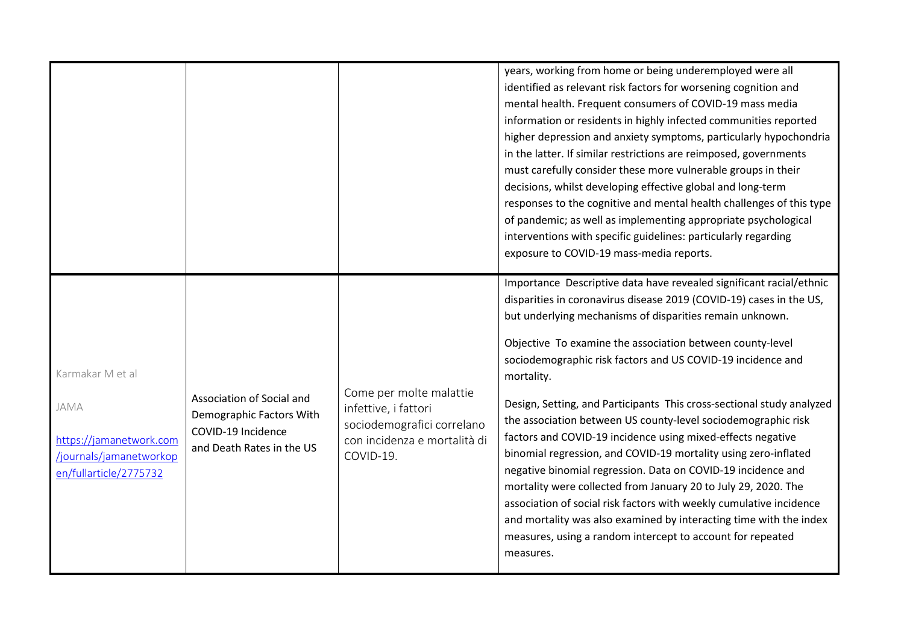|                                                                                                          |                                                                                                          |                                                                                                                            | identified as relevant risk factors for worsening cognition and<br>mental health. Frequent consumers of COVID-19 mass media<br>information or residents in highly infected communities reported<br>higher depression and anxiety symptoms, particularly hypochondria<br>in the latter. If similar restrictions are reimposed, governments<br>must carefully consider these more vulnerable groups in their<br>decisions, whilst developing effective global and long-term<br>responses to the cognitive and mental health challenges of this type<br>of pandemic; as well as implementing appropriate psychological<br>interventions with specific guidelines: particularly regarding<br>exposure to COVID-19 mass-media reports.<br>Importance Descriptive data have revealed significant racial/ethnic<br>disparities in coronavirus disease 2019 (COVID-19) cases in the US, |
|----------------------------------------------------------------------------------------------------------|----------------------------------------------------------------------------------------------------------|----------------------------------------------------------------------------------------------------------------------------|---------------------------------------------------------------------------------------------------------------------------------------------------------------------------------------------------------------------------------------------------------------------------------------------------------------------------------------------------------------------------------------------------------------------------------------------------------------------------------------------------------------------------------------------------------------------------------------------------------------------------------------------------------------------------------------------------------------------------------------------------------------------------------------------------------------------------------------------------------------------------------|
| Karmakar M et al<br>JAMA<br>https://jamanetwork.com<br>/journals/jamanetworkop<br>en/fullarticle/2775732 | Association of Social and<br>Demographic Factors With<br>COVID-19 Incidence<br>and Death Rates in the US | Come per molte malattie<br>infettive, i fattori<br>sociodemografici correlano<br>con incidenza e mortalità di<br>COVID-19. | but underlying mechanisms of disparities remain unknown.<br>Objective To examine the association between county-level<br>sociodemographic risk factors and US COVID-19 incidence and<br>mortality.<br>Design, Setting, and Participants This cross-sectional study analyzed<br>the association between US county-level sociodemographic risk<br>factors and COVID-19 incidence using mixed-effects negative<br>binomial regression, and COVID-19 mortality using zero-inflated<br>negative binomial regression. Data on COVID-19 incidence and<br>mortality were collected from January 20 to July 29, 2020. The<br>association of social risk factors with weekly cumulative incidence<br>and mortality was also examined by interacting time with the index<br>measures, using a random intercept to account for repeated<br>measures.                                        |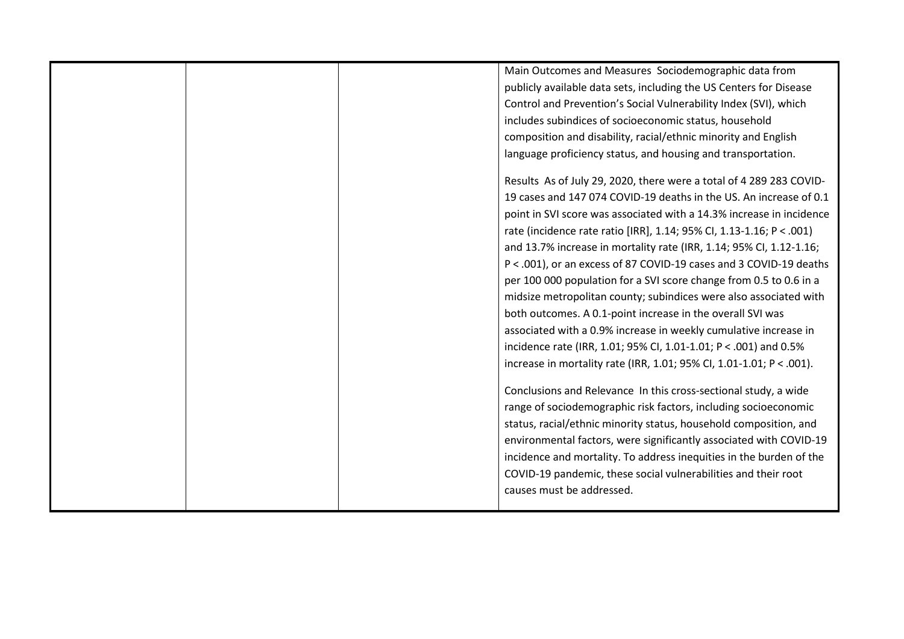| Main Outcomes and Measures Sociodemographic data from                |
|----------------------------------------------------------------------|
| publicly available data sets, including the US Centers for Disease   |
| Control and Prevention's Social Vulnerability Index (SVI), which     |
| includes subindices of socioeconomic status, household               |
| composition and disability, racial/ethnic minority and English       |
| language proficiency status, and housing and transportation.         |
|                                                                      |
| Results As of July 29, 2020, there were a total of 4 289 283 COVID-  |
| 19 cases and 147 074 COVID-19 deaths in the US. An increase of 0.1   |
| point in SVI score was associated with a 14.3% increase in incidence |
| rate (incidence rate ratio [IRR], 1.14; 95% CI, 1.13-1.16; P < .001) |
| and 13.7% increase in mortality rate (IRR, 1.14; 95% CI, 1.12-1.16;  |
| P < .001), or an excess of 87 COVID-19 cases and 3 COVID-19 deaths   |
| per 100 000 population for a SVI score change from 0.5 to 0.6 in a   |
| midsize metropolitan county; subindices were also associated with    |
| both outcomes. A 0.1-point increase in the overall SVI was           |
| associated with a 0.9% increase in weekly cumulative increase in     |
| incidence rate (IRR, 1.01; 95% CI, 1.01-1.01; P < .001) and 0.5%     |
| increase in mortality rate (IRR, 1.01; 95% CI, 1.01-1.01; P < .001). |
|                                                                      |
| Conclusions and Relevance In this cross-sectional study, a wide      |
| range of sociodemographic risk factors, including socioeconomic      |
| status, racial/ethnic minority status, household composition, and    |
| environmental factors, were significantly associated with COVID-19   |
| incidence and mortality. To address inequities in the burden of the  |
| COVID-19 pandemic, these social vulnerabilities and their root       |
| causes must be addressed.                                            |
|                                                                      |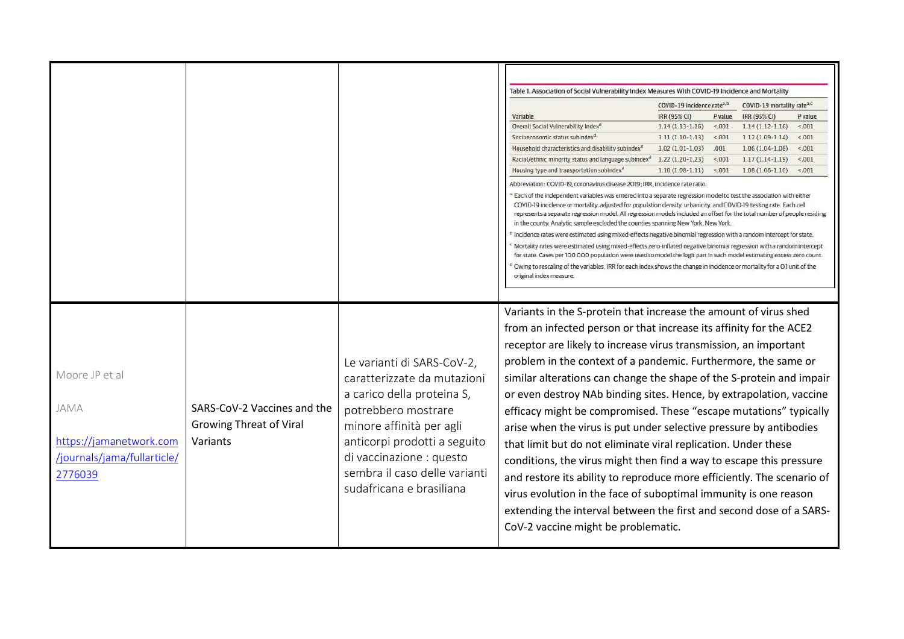|                             |                                |                               | Table 1. Association of Social Vulnerability Index Measures With COVID-19 Incidence and Mortality                                                                                                                                                 |                                        |         |                                        |         |
|-----------------------------|--------------------------------|-------------------------------|---------------------------------------------------------------------------------------------------------------------------------------------------------------------------------------------------------------------------------------------------|----------------------------------------|---------|----------------------------------------|---------|
|                             |                                |                               |                                                                                                                                                                                                                                                   | COVID-19 incidence rate <sup>a,b</sup> |         | COVID-19 mortality rate <sup>a,c</sup> |         |
|                             |                                |                               | Variable                                                                                                                                                                                                                                          | IRR (95% CI)                           | P value | IRR (95% CI)                           | P value |
|                             |                                |                               | Overall Social Vulnerability Index <sup>d</sup>                                                                                                                                                                                                   | $1.14(1.13-1.16)$                      | < 001   | $1.14(1.12-1.16)$                      | < 001   |
|                             |                                |                               | Socioeconomic status subindex <sup>d</sup>                                                                                                                                                                                                        | $1.11(1.10-1.13)$                      | < 001   | $1.12(1.09-1.14)$                      | < 001   |
|                             |                                |                               | Household characteristics and disability subindex <sup>a</sup>                                                                                                                                                                                    | $1.02(1.01 - 1.03)$                    | .001    | $1.06(1.04-1.08)$                      | < 001   |
|                             |                                |                               | Racial/ethnic minority status and language subindex <sup>d</sup>                                                                                                                                                                                  | $1.22(1.20-1.23)$                      | < 001   | $1.17(1.14-1.19)$                      | < 001   |
|                             |                                |                               | Housing type and transportation subindex <sup>a</sup>                                                                                                                                                                                             | $1.10(1.08-1.11)$                      | 5.001   | $1.08(1.06-1.10)$                      | < 001   |
|                             |                                |                               | Abbreviation: COVID-19, coronavirus disease 2019; IRR, incidence rate ratio.                                                                                                                                                                      |                                        |         |                                        |         |
|                             |                                |                               | Each of the independent variables was entered into a separate regression model to test the association with either<br>COVID-19 incidence or mortality, adjusted for population density, urbanicity, and COVID-19 testing rate. Each cell          |                                        |         |                                        |         |
|                             |                                |                               | represents a separate regression model. All regression models included an offset for the total number of people residing                                                                                                                          |                                        |         |                                        |         |
|                             |                                |                               | in the county. Analytic sample excluded the counties spanning New York, New York.<br>Incidence rates were estimated using mixed-effects negative binomial regression with a random intercept for state.                                           |                                        |         |                                        |         |
|                             |                                |                               | Mortality rates were estimated using mixed-effects zero-inflated negative binomial regression with a random intercept                                                                                                                             |                                        |         |                                        |         |
|                             |                                |                               | for state. Cases per 100 000 population were used to model the logit part in each model estimating excess zero count.<br>Owing to rescaling of the variables, IRR for each index shows the change in incidence or mortality for a 0.1 unit of the |                                        |         |                                        |         |
|                             |                                |                               | original index measure.                                                                                                                                                                                                                           |                                        |         |                                        |         |
|                             |                                |                               |                                                                                                                                                                                                                                                   |                                        |         |                                        |         |
|                             |                                |                               | Variants in the S-protein that increase the amount of virus shed                                                                                                                                                                                  |                                        |         |                                        |         |
|                             |                                |                               |                                                                                                                                                                                                                                                   |                                        |         |                                        |         |
|                             |                                |                               | from an infected person or that increase its affinity for the ACE2                                                                                                                                                                                |                                        |         |                                        |         |
|                             |                                |                               | receptor are likely to increase virus transmission, an important                                                                                                                                                                                  |                                        |         |                                        |         |
|                             |                                | Le varianti di SARS-CoV-2,    | problem in the context of a pandemic. Furthermore, the same or                                                                                                                                                                                    |                                        |         |                                        |         |
| Moore JP et al              |                                | caratterizzate da mutazioni   | similar alterations can change the shape of the S-protein and impair                                                                                                                                                                              |                                        |         |                                        |         |
|                             |                                | a carico della proteina S,    | or even destroy NAb binding sites. Hence, by extrapolation, vaccine                                                                                                                                                                               |                                        |         |                                        |         |
| JAMA                        | SARS-CoV-2 Vaccines and the    |                               |                                                                                                                                                                                                                                                   |                                        |         |                                        |         |
|                             |                                | potrebbero mostrare           | efficacy might be compromised. These "escape mutations" typically                                                                                                                                                                                 |                                        |         |                                        |         |
|                             | <b>Growing Threat of Viral</b> | minore affinità per agli      | arise when the virus is put under selective pressure by antibodies                                                                                                                                                                                |                                        |         |                                        |         |
| https://jamanetwork.com     | Variants                       | anticorpi prodotti a seguito  | that limit but do not eliminate viral replication. Under these                                                                                                                                                                                    |                                        |         |                                        |         |
| /journals/jama/fullarticle/ |                                | di vaccinazione : questo      |                                                                                                                                                                                                                                                   |                                        |         |                                        |         |
|                             |                                |                               | conditions, the virus might then find a way to escape this pressure                                                                                                                                                                               |                                        |         |                                        |         |
| 2776039                     |                                | sembra il caso delle varianti | and restore its ability to reproduce more efficiently. The scenario of                                                                                                                                                                            |                                        |         |                                        |         |
|                             |                                | sudafricana e brasiliana      | virus evolution in the face of suboptimal immunity is one reason                                                                                                                                                                                  |                                        |         |                                        |         |
|                             |                                |                               |                                                                                                                                                                                                                                                   |                                        |         |                                        |         |
|                             |                                |                               | extending the interval between the first and second dose of a SARS-                                                                                                                                                                               |                                        |         |                                        |         |
|                             |                                |                               | CoV-2 vaccine might be problematic.                                                                                                                                                                                                               |                                        |         |                                        |         |
|                             |                                |                               |                                                                                                                                                                                                                                                   |                                        |         |                                        |         |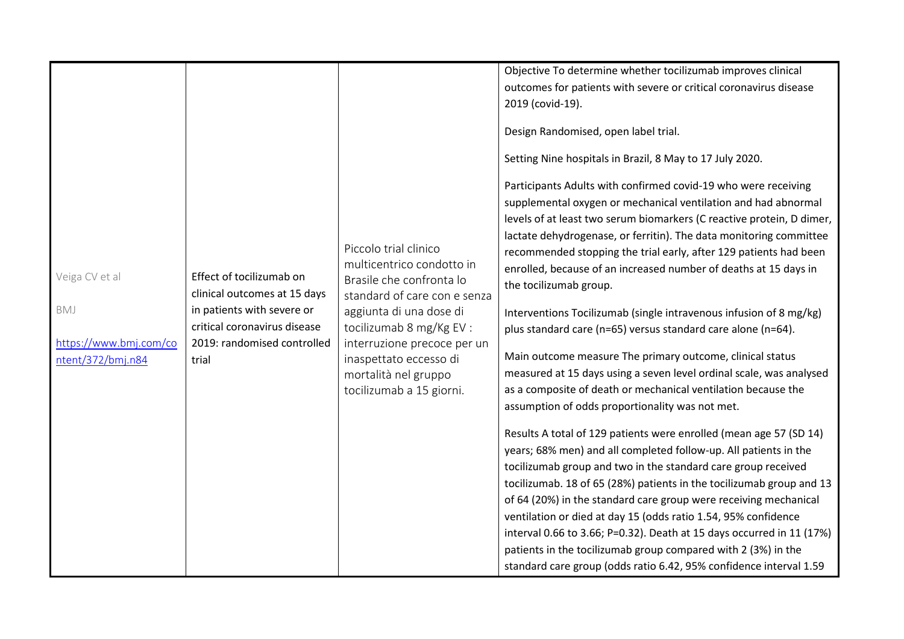|                                                                      |                                                                                                                                                                |                                                                                                                                                                                                                                                                                    | Objective To determine whether tocilizumab improves clinical<br>outcomes for patients with severe or critical coronavirus disease<br>2019 (covid-19).                                                                                                                                                                                                                                                                                                                                                                                                                                                                                                                                                                                                                                                                                                                                                                                                                                                                                                                                                                                                                                                                                                                                                                                                                                                                                                                                                                                                                                         |
|----------------------------------------------------------------------|----------------------------------------------------------------------------------------------------------------------------------------------------------------|------------------------------------------------------------------------------------------------------------------------------------------------------------------------------------------------------------------------------------------------------------------------------------|-----------------------------------------------------------------------------------------------------------------------------------------------------------------------------------------------------------------------------------------------------------------------------------------------------------------------------------------------------------------------------------------------------------------------------------------------------------------------------------------------------------------------------------------------------------------------------------------------------------------------------------------------------------------------------------------------------------------------------------------------------------------------------------------------------------------------------------------------------------------------------------------------------------------------------------------------------------------------------------------------------------------------------------------------------------------------------------------------------------------------------------------------------------------------------------------------------------------------------------------------------------------------------------------------------------------------------------------------------------------------------------------------------------------------------------------------------------------------------------------------------------------------------------------------------------------------------------------------|
| Veiga CV et al<br>BMJ<br>https://www.bmj.com/co<br>ntent/372/bmj.n84 | Effect of tocilizumab on<br>clinical outcomes at 15 days<br>in patients with severe or<br>critical coronavirus disease<br>2019: randomised controlled<br>trial | Piccolo trial clinico<br>multicentrico condotto in<br>Brasile che confronta lo<br>standard of care con e senza<br>aggiunta di una dose di<br>tocilizumab 8 mg/Kg EV :<br>interruzione precoce per un<br>inaspettato eccesso di<br>mortalità nel gruppo<br>tocilizumab a 15 giorni. | Design Randomised, open label trial.<br>Setting Nine hospitals in Brazil, 8 May to 17 July 2020.<br>Participants Adults with confirmed covid-19 who were receiving<br>supplemental oxygen or mechanical ventilation and had abnormal<br>levels of at least two serum biomarkers (C reactive protein, D dimer,<br>lactate dehydrogenase, or ferritin). The data monitoring committee<br>recommended stopping the trial early, after 129 patients had been<br>enrolled, because of an increased number of deaths at 15 days in<br>the tocilizumab group.<br>Interventions Tocilizumab (single intravenous infusion of 8 mg/kg)<br>plus standard care (n=65) versus standard care alone (n=64).<br>Main outcome measure The primary outcome, clinical status<br>measured at 15 days using a seven level ordinal scale, was analysed<br>as a composite of death or mechanical ventilation because the<br>assumption of odds proportionality was not met.<br>Results A total of 129 patients were enrolled (mean age 57 (SD 14)<br>years; 68% men) and all completed follow-up. All patients in the<br>tocilizumab group and two in the standard care group received<br>tocilizumab. 18 of 65 (28%) patients in the tocilizumab group and 13<br>of 64 (20%) in the standard care group were receiving mechanical<br>ventilation or died at day 15 (odds ratio 1.54, 95% confidence<br>interval 0.66 to 3.66; P=0.32). Death at 15 days occurred in 11 (17%)<br>patients in the tocilizumab group compared with 2 (3%) in the<br>standard care group (odds ratio 6.42, 95% confidence interval 1.59 |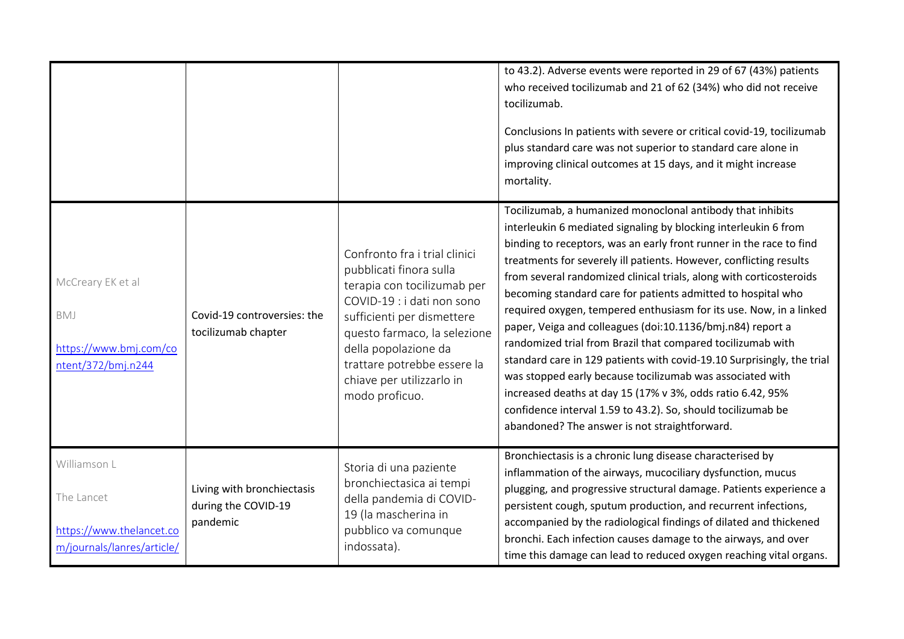|                                                                                      |                                                               |                                                                                                                                                                                                                                                                                           | to 43.2). Adverse events were reported in 29 of 67 (43%) patients<br>who received tocilizumab and 21 of 62 (34%) who did not receive<br>tocilizumab.<br>Conclusions In patients with severe or critical covid-19, tocilizumab<br>plus standard care was not superior to standard care alone in<br>improving clinical outcomes at 15 days, and it might increase<br>mortality.                                                                                                                                                                                                                                                                                                                                                                                                                                                                                                                                                              |
|--------------------------------------------------------------------------------------|---------------------------------------------------------------|-------------------------------------------------------------------------------------------------------------------------------------------------------------------------------------------------------------------------------------------------------------------------------------------|--------------------------------------------------------------------------------------------------------------------------------------------------------------------------------------------------------------------------------------------------------------------------------------------------------------------------------------------------------------------------------------------------------------------------------------------------------------------------------------------------------------------------------------------------------------------------------------------------------------------------------------------------------------------------------------------------------------------------------------------------------------------------------------------------------------------------------------------------------------------------------------------------------------------------------------------|
| McCreary EK et al<br>BMJ<br>https://www.bmj.com/co<br>ntent/372/bmj.n244             | Covid-19 controversies: the<br>tocilizumab chapter            | Confronto fra i trial clinici<br>pubblicati finora sulla<br>terapia con tocilizumab per<br>COVID-19 : i dati non sono<br>sufficienti per dismettere<br>questo farmaco, la selezione<br>della popolazione da<br>trattare potrebbe essere la<br>chiave per utilizzarlo in<br>modo proficuo. | Tocilizumab, a humanized monoclonal antibody that inhibits<br>interleukin 6 mediated signaling by blocking interleukin 6 from<br>binding to receptors, was an early front runner in the race to find<br>treatments for severely ill patients. However, conflicting results<br>from several randomized clinical trials, along with corticosteroids<br>becoming standard care for patients admitted to hospital who<br>required oxygen, tempered enthusiasm for its use. Now, in a linked<br>paper, Veiga and colleagues (doi:10.1136/bmj.n84) report a<br>randomized trial from Brazil that compared tocilizumab with<br>standard care in 129 patients with covid-19.10 Surprisingly, the trial<br>was stopped early because tocilizumab was associated with<br>increased deaths at day 15 (17% v 3%, odds ratio 6.42, 95%<br>confidence interval 1.59 to 43.2). So, should tocilizumab be<br>abandoned? The answer is not straightforward. |
| Williamson L<br>The Lancet<br>https://www.thelancet.co<br>m/journals/lanres/article/ | Living with bronchiectasis<br>during the COVID-19<br>pandemic | Storia di una paziente<br>bronchiectasica ai tempi<br>della pandemia di COVID-<br>19 (la mascherina in<br>pubblico va comunque<br>indossata).                                                                                                                                             | Bronchiectasis is a chronic lung disease characterised by<br>inflammation of the airways, mucociliary dysfunction, mucus<br>plugging, and progressive structural damage. Patients experience a<br>persistent cough, sputum production, and recurrent infections,<br>accompanied by the radiological findings of dilated and thickened<br>bronchi. Each infection causes damage to the airways, and over<br>time this damage can lead to reduced oxygen reaching vital organs.                                                                                                                                                                                                                                                                                                                                                                                                                                                              |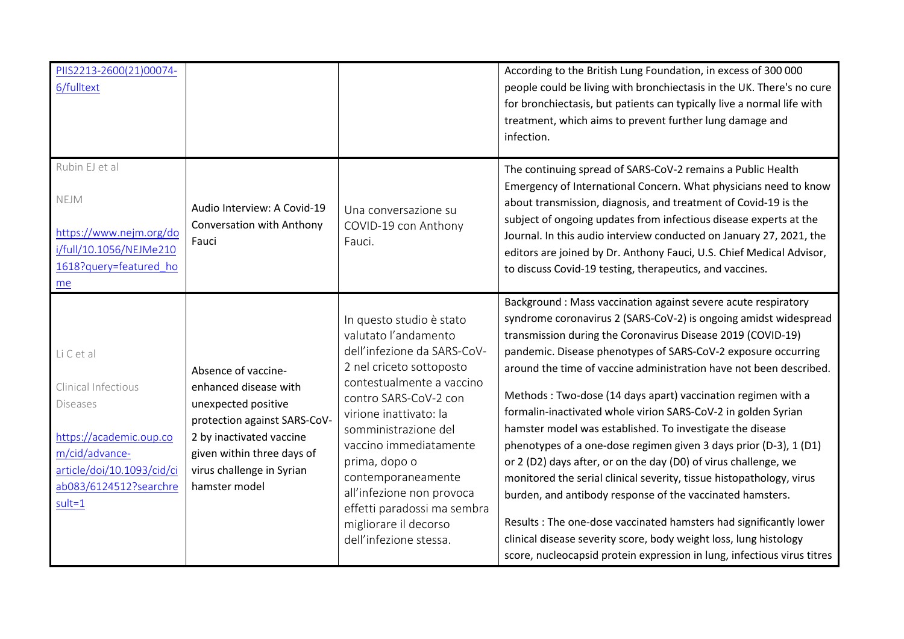| PIIS2213-2600(21)00074-<br>6/fulltext                                                                                                                            |                                                                                                                                                                                                             |                                                                                                                                                                                                                                                                                                                                                                                                     | According to the British Lung Foundation, in excess of 300 000<br>people could be living with bronchiectasis in the UK. There's no cure<br>for bronchiectasis, but patients can typically live a normal life with<br>treatment, which aims to prevent further lung damage and<br>infection.                                                                                                                                                                                                                                                                                                                                                                                                                                                                                                                                                                                                                                                                                                                                              |
|------------------------------------------------------------------------------------------------------------------------------------------------------------------|-------------------------------------------------------------------------------------------------------------------------------------------------------------------------------------------------------------|-----------------------------------------------------------------------------------------------------------------------------------------------------------------------------------------------------------------------------------------------------------------------------------------------------------------------------------------------------------------------------------------------------|------------------------------------------------------------------------------------------------------------------------------------------------------------------------------------------------------------------------------------------------------------------------------------------------------------------------------------------------------------------------------------------------------------------------------------------------------------------------------------------------------------------------------------------------------------------------------------------------------------------------------------------------------------------------------------------------------------------------------------------------------------------------------------------------------------------------------------------------------------------------------------------------------------------------------------------------------------------------------------------------------------------------------------------|
| Rubin EJ et al<br>NEJM<br>https://www.nejm.org/do<br>i/full/10.1056/NEJMe210<br>1618?query=featured_ho<br>me                                                     | Audio Interview: A Covid-19<br>Conversation with Anthony<br>Fauci                                                                                                                                           | Una conversazione su<br>COVID-19 con Anthony<br>Fauci.                                                                                                                                                                                                                                                                                                                                              | The continuing spread of SARS-CoV-2 remains a Public Health<br>Emergency of International Concern. What physicians need to know<br>about transmission, diagnosis, and treatment of Covid-19 is the<br>subject of ongoing updates from infectious disease experts at the<br>Journal. In this audio interview conducted on January 27, 2021, the<br>editors are joined by Dr. Anthony Fauci, U.S. Chief Medical Advisor,<br>to discuss Covid-19 testing, therapeutics, and vaccines.                                                                                                                                                                                                                                                                                                                                                                                                                                                                                                                                                       |
| LiCetal<br>Clinical Infectious<br><b>Diseases</b><br>https://academic.oup.co<br>m/cid/advance-<br>article/doi/10.1093/cid/ci<br>ab083/6124512?searchre<br>sult=1 | Absence of vaccine-<br>enhanced disease with<br>unexpected positive<br>protection against SARS-CoV-<br>2 by inactivated vaccine<br>given within three days of<br>virus challenge in Syrian<br>hamster model | In questo studio è stato<br>valutato l'andamento<br>dell'infezione da SARS-CoV-<br>2 nel criceto sottoposto<br>contestualmente a vaccino<br>contro SARS-CoV-2 con<br>virione inattivato: la<br>somministrazione del<br>vaccino immediatamente<br>prima, dopo o<br>contemporaneamente<br>all'infezione non provoca<br>effetti paradossi ma sembra<br>migliorare il decorso<br>dell'infezione stessa. | Background : Mass vaccination against severe acute respiratory<br>syndrome coronavirus 2 (SARS-CoV-2) is ongoing amidst widespread<br>transmission during the Coronavirus Disease 2019 (COVID-19)<br>pandemic. Disease phenotypes of SARS-CoV-2 exposure occurring<br>around the time of vaccine administration have not been described.<br>Methods: Two-dose (14 days apart) vaccination regimen with a<br>formalin-inactivated whole virion SARS-CoV-2 in golden Syrian<br>hamster model was established. To investigate the disease<br>phenotypes of a one-dose regimen given 3 days prior (D-3), 1 (D1)<br>or 2 (D2) days after, or on the day (D0) of virus challenge, we<br>monitored the serial clinical severity, tissue histopathology, virus<br>burden, and antibody response of the vaccinated hamsters.<br>Results: The one-dose vaccinated hamsters had significantly lower<br>clinical disease severity score, body weight loss, lung histology<br>score, nucleocapsid protein expression in lung, infectious virus titres |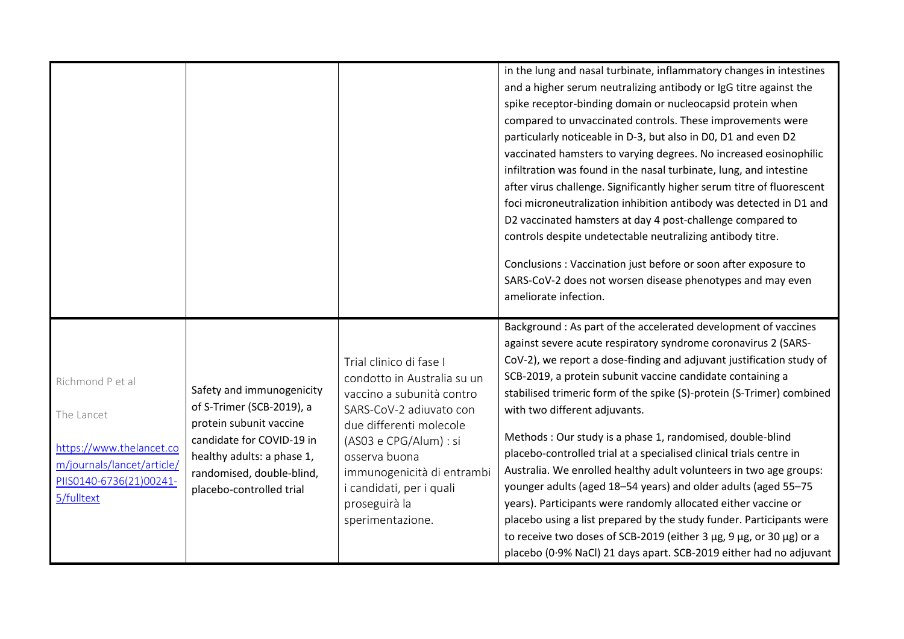|                                                                                                                                   |                                                                                                                                                                                                       |                                                                                                                                                                                                                                                                                     | in the lung and nasal turbinate, inflammatory changes in intestines<br>and a higher serum neutralizing antibody or IgG titre against the<br>spike receptor-binding domain or nucleocapsid protein when<br>compared to unvaccinated controls. These improvements were<br>particularly noticeable in D-3, but also in D0, D1 and even D2<br>vaccinated hamsters to varying degrees. No increased eosinophilic<br>infiltration was found in the nasal turbinate, lung, and intestine<br>after virus challenge. Significantly higher serum titre of fluorescent<br>foci microneutralization inhibition antibody was detected in D1 and<br>D2 vaccinated hamsters at day 4 post-challenge compared to<br>controls despite undetectable neutralizing antibody titre.<br>Conclusions : Vaccination just before or soon after exposure to<br>SARS-CoV-2 does not worsen disease phenotypes and may even<br>ameliorate infection.                             |
|-----------------------------------------------------------------------------------------------------------------------------------|-------------------------------------------------------------------------------------------------------------------------------------------------------------------------------------------------------|-------------------------------------------------------------------------------------------------------------------------------------------------------------------------------------------------------------------------------------------------------------------------------------|------------------------------------------------------------------------------------------------------------------------------------------------------------------------------------------------------------------------------------------------------------------------------------------------------------------------------------------------------------------------------------------------------------------------------------------------------------------------------------------------------------------------------------------------------------------------------------------------------------------------------------------------------------------------------------------------------------------------------------------------------------------------------------------------------------------------------------------------------------------------------------------------------------------------------------------------------|
| Richmond P et al<br>The Lancet<br>https://www.thelancet.co<br>m/journals/lancet/article/<br>PIIS0140-6736(21)00241-<br>5/fulltext | Safety and immunogenicity<br>of S-Trimer (SCB-2019), a<br>protein subunit vaccine<br>candidate for COVID-19 in<br>healthy adults: a phase 1,<br>randomised, double-blind,<br>placebo-controlled trial | Trial clinico di fase I<br>condotto in Australia su un<br>vaccino a subunità contro<br>SARS-CoV-2 adiuvato con<br>due differenti molecole<br>(AS03 e CPG/Alum) : si<br>osserva buona<br>immunogenicità di entrambi<br>i candidati, per i quali<br>proseguirà la<br>sperimentazione. | Background : As part of the accelerated development of vaccines<br>against severe acute respiratory syndrome coronavirus 2 (SARS-<br>CoV-2), we report a dose-finding and adjuvant justification study of<br>SCB-2019, a protein subunit vaccine candidate containing a<br>stabilised trimeric form of the spike (S)-protein (S-Trimer) combined<br>with two different adjuvants.<br>Methods: Our study is a phase 1, randomised, double-blind<br>placebo-controlled trial at a specialised clinical trials centre in<br>Australia. We enrolled healthy adult volunteers in two age groups:<br>younger adults (aged 18-54 years) and older adults (aged 55-75<br>years). Participants were randomly allocated either vaccine or<br>placebo using a list prepared by the study funder. Participants were<br>to receive two doses of SCB-2019 (either 3 μg, 9 μg, or 30 μg) or a<br>placebo (0.9% NaCl) 21 days apart. SCB-2019 either had no adjuvant |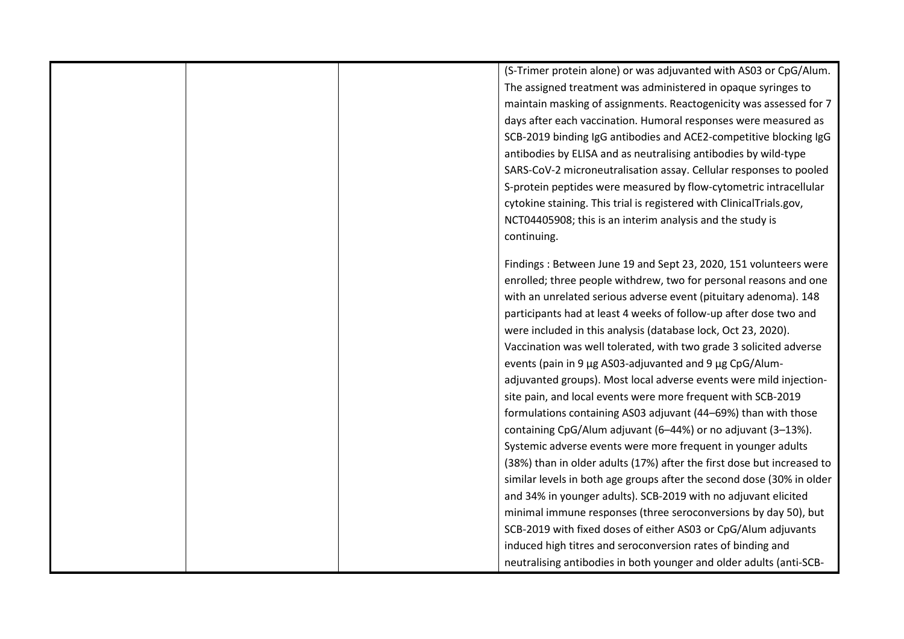(S-Trimer protein alone) or was adjuvanted with AS03 or CpG/Alum. The assigned treatment was administered in opaque syringes to maintain masking of assignments. Reactogenicity was assessed for 7 days after each vaccination. Humoral responses were measured as SCB-2019 binding IgG antibodies and ACE2-competitive blocking IgG antibodies by ELISA and as neutralising antibodies by wild-type SARS-CoV-2 microneutralisation assay. Cellular responses to pooled S-protein peptides were measured by flow-cytometric intracellular cytokine staining. This trial is registered with ClinicalTrials.gov, NCT04405908; this is an interim analysis and the study is continuing.

Findings : Between June 19 and Sept 23, 2020, 151 volunteers were enrolled; three people withdrew, two for personal reasons and one with an unrelated serious adverse event (pituitary adenoma). 148 participants had at least 4 weeks of follow-up after dose two and were included in this analysis (database lock, Oct 23, 2020). Vaccination was well tolerated, with two grade 3 solicited adverse events (pain in 9 μg AS03-adjuvanted and 9 μg CpG/Alumadjuvanted groups). Most local adverse events were mild injectionsite pain, and local events were more frequent with SCB-2019 formulations containing AS03 adjuvant (44–69%) than with those containing CpG/Alum adjuvant (6–44%) or no adjuvant (3–13%). Systemic adverse events were more frequent in younger adults (38%) than in older adults (17%) after the first dose but increased to similar levels in both age groups after the second dose (30% in older and 34% in younger adults). SCB-2019 with no adjuvant elicited minimal immune responses (three seroconversions by day 50), but SCB-2019 with fixed doses of either AS03 or CpG/Alum adjuvants induced high titres and seroconversion rates of binding and neutralising antibodies in both younger and older adults (anti-SCB-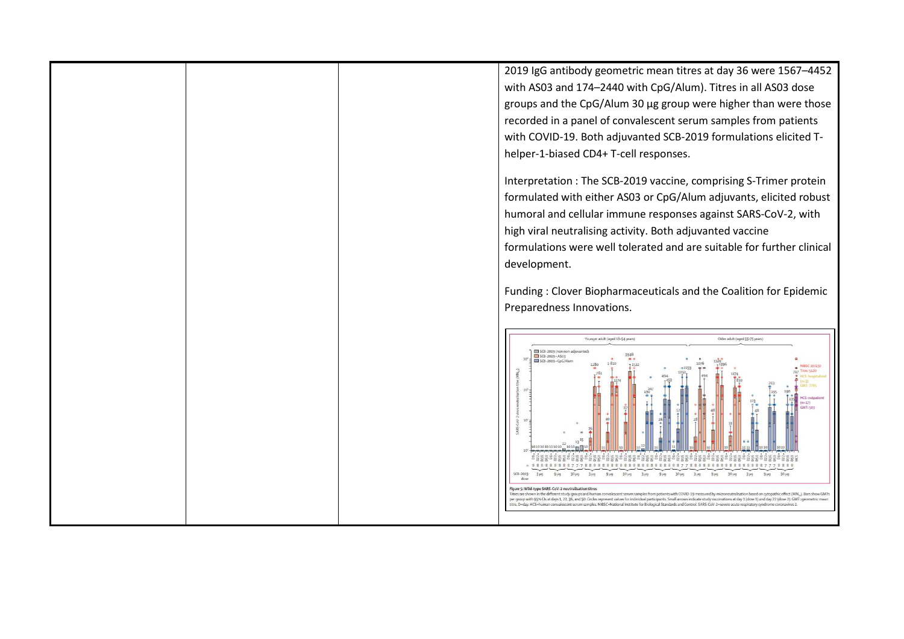2019 IgG antibody geometric mean titres at day 36 were 1567–4452 with AS03 and 174–2440 with CpG/Alum). Titres in all AS03 dose groups and the CpG/Alum 30 μg group were higher than were those recorded in a panel of convalescent serum samples from patients with COVID-19. Both adjuvanted SCB-2019 formulations elicited Thelper-1-biased CD4+ T-cell responses. Interpretation : The SCB-2019 vaccine, comprising S-Trimer protein formulated with either AS03 or CpG/Alum adjuvants, elicited robust humoral and cellular immune responses against SARS-CoV-2, with high viral neutralising activity. Both adjuvanted vaccine formulations were well tolerated and are suitable for further clinical development. Funding : Clover Biopharmaceuticals and the Coalition for Epidemic Preparedness Innovations. Younger adult (aged 18-54 years Older adult (aged 55-75 years)  $10^{4}$ <br> $\frac{1}{2}$  SCB-2019 (non non-adjuvanted<br> $10^{4}$ <br> $\frac{1}{2}$  SCB-2019 + CpG/Alum i alge a dige a dige a dige a dige a dige a dige a dige a dige a dige a dige a dige a dige a SCB-2019  $3<sub>143</sub>$  $9 \mu g$ 30 µg 3 µg 9 µg 30 µg 3 µg  $9<sub>pg</sub>$ 30 µg  $3 \mu g$  $9<sub>pg</sub>$  $30 \mu g$  $g\mu$ g  $9 \mu n$ 30 up Figure 5: Wild-type SARS-CoV-2 neutralisation titres .<br>Thres are shown in the different study groups and human consolescent serom samples from patients with COVID-19 measured by microneutralisation based on cytopathic effect (MN<sub>m</sub>). Bars show GMT<br>per group with 95% Cls at d hic effect (MN, ). Bars show GMT tre, D=day. HCS=human ivalescent serum samples. NIBSC=National Institute for Biological Standards and Control. SARS-CoV-2=severe acute respiratory syndr  $rac{1}{2}$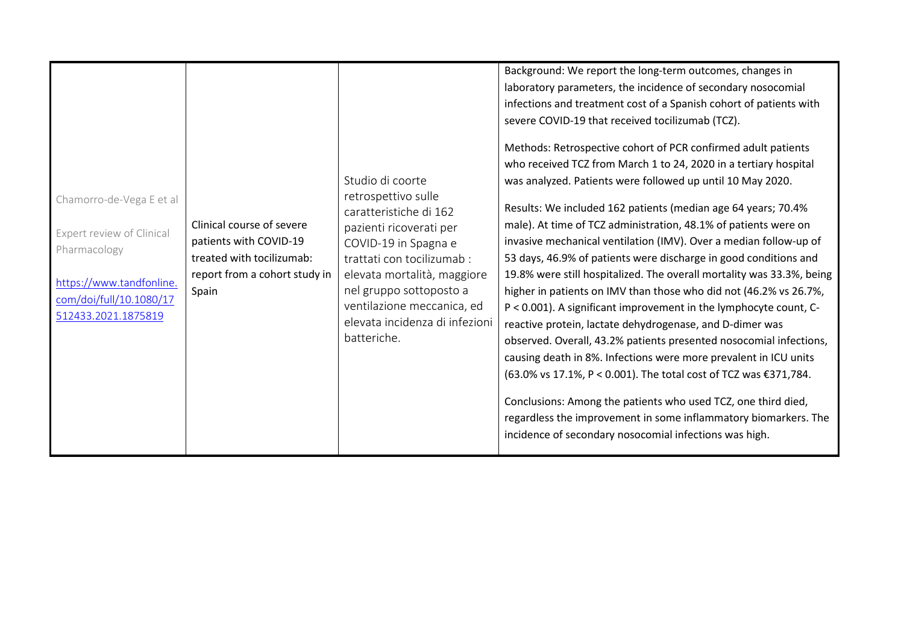| Chamorro-de-Vega E et al<br>Expert review of Clinical<br>Pharmacology<br>https://www.tandfonline.<br>com/doi/full/10.1080/17<br>512433.2021.1875819 | Clinical course of severe<br>patients with COVID-19<br>treated with tocilizumab:<br>report from a cohort study in<br>Spain | Studio di coorte<br>retrospettivo sulle<br>caratteristiche di 162<br>pazienti ricoverati per<br>COVID-19 in Spagna e<br>trattati con tocilizumab:<br>elevata mortalità, maggiore<br>nel gruppo sottoposto a<br>ventilazione meccanica, ed<br>elevata incidenza di infezioni<br>batteriche. | Background: We report the long-term outcomes, changes in<br>laboratory parameters, the incidence of secondary nosocomial<br>infections and treatment cost of a Spanish cohort of patients with<br>severe COVID-19 that received tocilizumab (TCZ).<br>Methods: Retrospective cohort of PCR confirmed adult patients<br>who received TCZ from March 1 to 24, 2020 in a tertiary hospital<br>was analyzed. Patients were followed up until 10 May 2020.<br>Results: We included 162 patients (median age 64 years; 70.4%<br>male). At time of TCZ administration, 48.1% of patients were on<br>invasive mechanical ventilation (IMV). Over a median follow-up of<br>53 days, 46.9% of patients were discharge in good conditions and<br>19.8% were still hospitalized. The overall mortality was 33.3%, being<br>higher in patients on IMV than those who did not (46.2% vs 26.7%,<br>P < 0.001). A significant improvement in the lymphocyte count, C-<br>reactive protein, lactate dehydrogenase, and D-dimer was<br>observed. Overall, 43.2% patients presented nosocomial infections,<br>causing death in 8%. Infections were more prevalent in ICU units<br>(63.0% vs 17.1%, P < 0.001). The total cost of TCZ was €371,784. |
|-----------------------------------------------------------------------------------------------------------------------------------------------------|----------------------------------------------------------------------------------------------------------------------------|--------------------------------------------------------------------------------------------------------------------------------------------------------------------------------------------------------------------------------------------------------------------------------------------|---------------------------------------------------------------------------------------------------------------------------------------------------------------------------------------------------------------------------------------------------------------------------------------------------------------------------------------------------------------------------------------------------------------------------------------------------------------------------------------------------------------------------------------------------------------------------------------------------------------------------------------------------------------------------------------------------------------------------------------------------------------------------------------------------------------------------------------------------------------------------------------------------------------------------------------------------------------------------------------------------------------------------------------------------------------------------------------------------------------------------------------------------------------------------------------------------------------------------------|
|                                                                                                                                                     |                                                                                                                            |                                                                                                                                                                                                                                                                                            |                                                                                                                                                                                                                                                                                                                                                                                                                                                                                                                                                                                                                                                                                                                                                                                                                                                                                                                                                                                                                                                                                                                                                                                                                                 |
|                                                                                                                                                     |                                                                                                                            |                                                                                                                                                                                                                                                                                            |                                                                                                                                                                                                                                                                                                                                                                                                                                                                                                                                                                                                                                                                                                                                                                                                                                                                                                                                                                                                                                                                                                                                                                                                                                 |
|                                                                                                                                                     |                                                                                                                            |                                                                                                                                                                                                                                                                                            | Conclusions: Among the patients who used TCZ, one third died,<br>regardless the improvement in some inflammatory biomarkers. The<br>incidence of secondary nosocomial infections was high.                                                                                                                                                                                                                                                                                                                                                                                                                                                                                                                                                                                                                                                                                                                                                                                                                                                                                                                                                                                                                                      |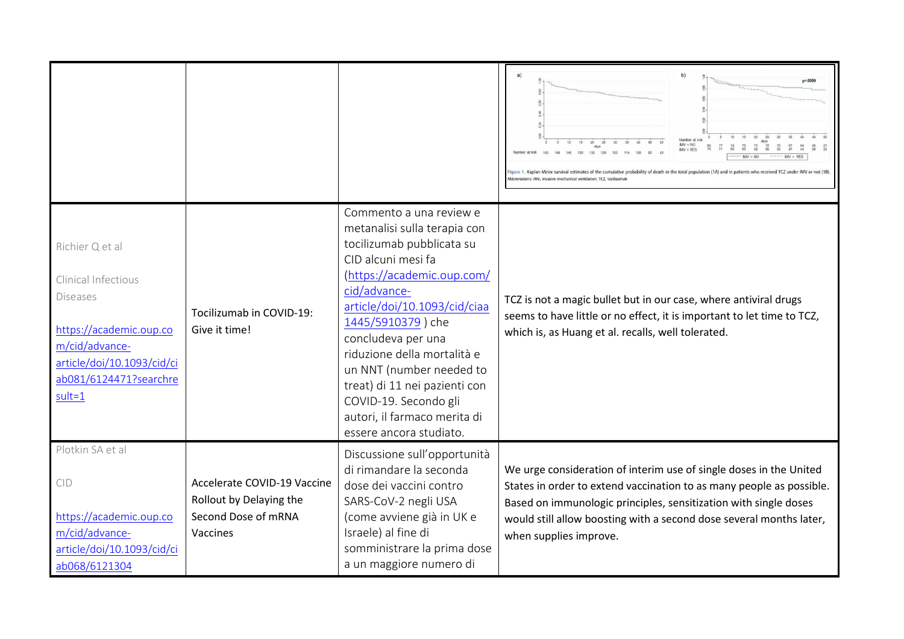|                                                                                                                                                                          |                                                                                           |                                                                                                                                                                                                                                                                                                                                                                                                                     | b)<br>a)<br>lumber at ris<br>$MV = NO$<br>re probability of death in the total population (1A) and in patients who received                                                                                                                                                                                     |
|--------------------------------------------------------------------------------------------------------------------------------------------------------------------------|-------------------------------------------------------------------------------------------|---------------------------------------------------------------------------------------------------------------------------------------------------------------------------------------------------------------------------------------------------------------------------------------------------------------------------------------------------------------------------------------------------------------------|-----------------------------------------------------------------------------------------------------------------------------------------------------------------------------------------------------------------------------------------------------------------------------------------------------------------|
| Richier Q et al<br>Clinical Infectious<br><b>Diseases</b><br>https://academic.oup.co<br>m/cid/advance-<br>article/doi/10.1093/cid/ci<br>ab081/6124471?searchre<br>sult=1 | Tocilizumab in COVID-19:<br>Give it time!                                                 | Commento a una review e<br>metanalisi sulla terapia con<br>tocilizumab pubblicata su<br>CID alcuni mesi fa<br>(https://academic.oup.com/<br>cid/advance-<br>article/doi/10.1093/cid/ciaa<br>1445/5910379) che<br>concludeva per una<br>riduzione della mortalità e<br>un NNT (number needed to<br>treat) di 11 nei pazienti con<br>COVID-19. Secondo gli<br>autori, il farmaco merita di<br>essere ancora studiato. | TCZ is not a magic bullet but in our case, where antiviral drugs<br>seems to have little or no effect, it is important to let time to TCZ,<br>which is, as Huang et al. recalls, well tolerated.                                                                                                                |
| Plotkin SA et al<br>CID<br>https://academic.oup.co<br>m/cid/advance-<br>article/doi/10.1093/cid/ci<br>ab068/6121304                                                      | Accelerate COVID-19 Vaccine<br>Rollout by Delaying the<br>Second Dose of mRNA<br>Vaccines | Discussione sull'opportunità<br>di rimandare la seconda<br>dose dei vaccini contro<br>SARS-CoV-2 negli USA<br>(come avviene già in UK e<br>Israele) al fine di<br>somministrare la prima dose<br>a un maggiore numero di                                                                                                                                                                                            | We urge consideration of interim use of single doses in the United<br>States in order to extend vaccination to as many people as possible.<br>Based on immunologic principles, sensitization with single doses<br>would still allow boosting with a second dose several months later,<br>when supplies improve. |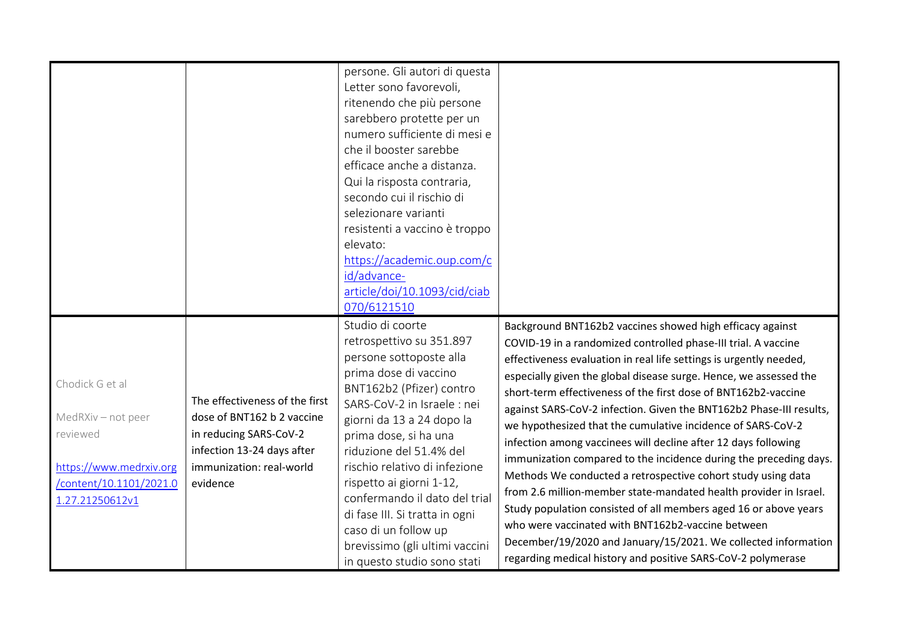|                                                                                                                            |                                                                                                                                                              | persone. Gli autori di questa<br>Letter sono favorevoli,<br>ritenendo che più persone<br>sarebbero protette per un<br>numero sufficiente di mesi e                                                                                                                                                                                                                                                                                                                    |                                                                                                                                                                                                                                                                                                                                                                                                                                                                                                                                                                                                                                                                                                                                                                                                                                                                                                                                                                                                                       |
|----------------------------------------------------------------------------------------------------------------------------|--------------------------------------------------------------------------------------------------------------------------------------------------------------|-----------------------------------------------------------------------------------------------------------------------------------------------------------------------------------------------------------------------------------------------------------------------------------------------------------------------------------------------------------------------------------------------------------------------------------------------------------------------|-----------------------------------------------------------------------------------------------------------------------------------------------------------------------------------------------------------------------------------------------------------------------------------------------------------------------------------------------------------------------------------------------------------------------------------------------------------------------------------------------------------------------------------------------------------------------------------------------------------------------------------------------------------------------------------------------------------------------------------------------------------------------------------------------------------------------------------------------------------------------------------------------------------------------------------------------------------------------------------------------------------------------|
|                                                                                                                            |                                                                                                                                                              | che il booster sarebbe<br>efficace anche a distanza.<br>Qui la risposta contraria,<br>secondo cui il rischio di<br>selezionare varianti<br>resistenti a vaccino è troppo<br>elevato:<br>https://academic.oup.com/c<br>id/advance-<br>article/doi/10.1093/cid/ciab<br>070/6121510                                                                                                                                                                                      |                                                                                                                                                                                                                                                                                                                                                                                                                                                                                                                                                                                                                                                                                                                                                                                                                                                                                                                                                                                                                       |
| Chodick G et al<br>MedRXiv - not peer<br>reviewed<br>https://www.medrxiv.org<br>/content/10.1101/2021.0<br>1.27.21250612v1 | The effectiveness of the first<br>dose of BNT162 b 2 vaccine<br>in reducing SARS-CoV-2<br>infection 13-24 days after<br>immunization: real-world<br>evidence | Studio di coorte<br>retrospettivo su 351.897<br>persone sottoposte alla<br>prima dose di vaccino<br>BNT162b2 (Pfizer) contro<br>SARS-CoV-2 in Israele : nei<br>giorni da 13 a 24 dopo la<br>prima dose, si ha una<br>riduzione del 51.4% del<br>rischio relativo di infezione<br>rispetto ai giorni 1-12,<br>confermando il dato del trial<br>di fase III. Si tratta in ogni<br>caso di un follow up<br>brevissimo (gli ultimi vaccini<br>in questo studio sono stati | Background BNT162b2 vaccines showed high efficacy against<br>COVID-19 in a randomized controlled phase-III trial. A vaccine<br>effectiveness evaluation in real life settings is urgently needed,<br>especially given the global disease surge. Hence, we assessed the<br>short-term effectiveness of the first dose of BNT162b2-vaccine<br>against SARS-CoV-2 infection. Given the BNT162b2 Phase-III results,<br>we hypothesized that the cumulative incidence of SARS-CoV-2<br>infection among vaccinees will decline after 12 days following<br>immunization compared to the incidence during the preceding days.<br>Methods We conducted a retrospective cohort study using data<br>from 2.6 million-member state-mandated health provider in Israel.<br>Study population consisted of all members aged 16 or above years<br>who were vaccinated with BNT162b2-vaccine between<br>December/19/2020 and January/15/2021. We collected information<br>regarding medical history and positive SARS-CoV-2 polymerase |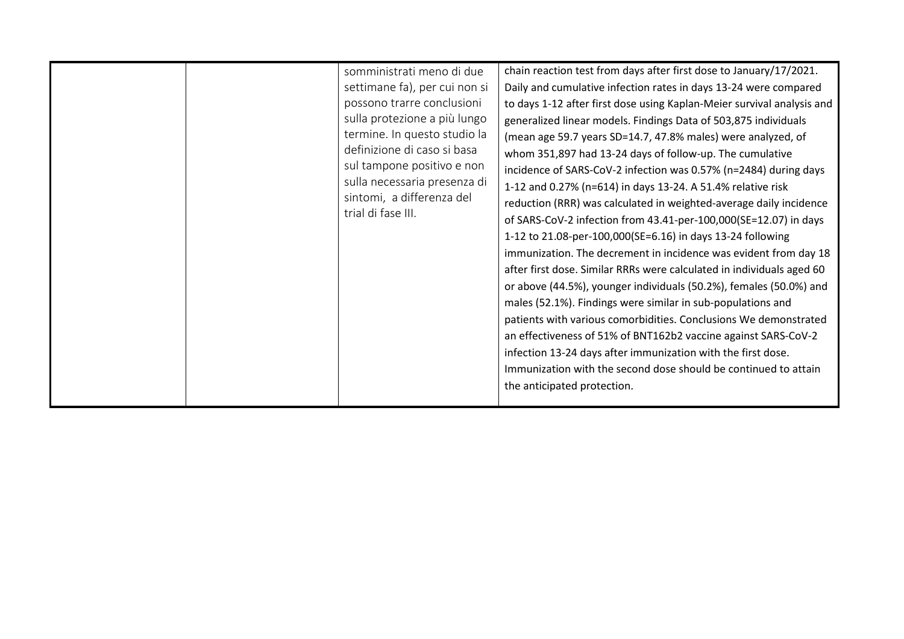| somministrati meno di due<br>settimane fa), per cui non si<br>possono trarre conclusioni<br>sulla protezione a più lungo<br>termine. In questo studio la<br>definizione di caso si basa<br>sul tampone positivo e non<br>sulla necessaria presenza di<br>sintomi, a differenza del<br>trial di fase III. | chain reaction test from days after first dose to January/17/2021.<br>Daily and cumulative infection rates in days 13-24 were compared<br>to days 1-12 after first dose using Kaplan-Meier survival analysis and<br>generalized linear models. Findings Data of 503,875 individuals<br>(mean age 59.7 years SD=14.7, 47.8% males) were analyzed, of<br>whom 351,897 had 13-24 days of follow-up. The cumulative<br>incidence of SARS-CoV-2 infection was 0.57% (n=2484) during days<br>1-12 and 0.27% (n=614) in days 13-24. A 51.4% relative risk<br>reduction (RRR) was calculated in weighted-average daily incidence<br>of SARS-CoV-2 infection from 43.41-per-100,000(SE=12.07) in days<br>1-12 to 21.08-per-100,000(SE=6.16) in days 13-24 following<br>immunization. The decrement in incidence was evident from day 18<br>after first dose. Similar RRRs were calculated in individuals aged 60<br>or above (44.5%), younger individuals (50.2%), females (50.0%) and<br>males (52.1%). Findings were similar in sub-populations and<br>patients with various comorbidities. Conclusions We demonstrated<br>an effectiveness of 51% of BNT162b2 vaccine against SARS-CoV-2<br>infection 13-24 days after immunization with the first dose.<br>Immunization with the second dose should be continued to attain<br>the anticipated protection. |
|----------------------------------------------------------------------------------------------------------------------------------------------------------------------------------------------------------------------------------------------------------------------------------------------------------|------------------------------------------------------------------------------------------------------------------------------------------------------------------------------------------------------------------------------------------------------------------------------------------------------------------------------------------------------------------------------------------------------------------------------------------------------------------------------------------------------------------------------------------------------------------------------------------------------------------------------------------------------------------------------------------------------------------------------------------------------------------------------------------------------------------------------------------------------------------------------------------------------------------------------------------------------------------------------------------------------------------------------------------------------------------------------------------------------------------------------------------------------------------------------------------------------------------------------------------------------------------------------------------------------------------------------------------------------|
|----------------------------------------------------------------------------------------------------------------------------------------------------------------------------------------------------------------------------------------------------------------------------------------------------------|------------------------------------------------------------------------------------------------------------------------------------------------------------------------------------------------------------------------------------------------------------------------------------------------------------------------------------------------------------------------------------------------------------------------------------------------------------------------------------------------------------------------------------------------------------------------------------------------------------------------------------------------------------------------------------------------------------------------------------------------------------------------------------------------------------------------------------------------------------------------------------------------------------------------------------------------------------------------------------------------------------------------------------------------------------------------------------------------------------------------------------------------------------------------------------------------------------------------------------------------------------------------------------------------------------------------------------------------------|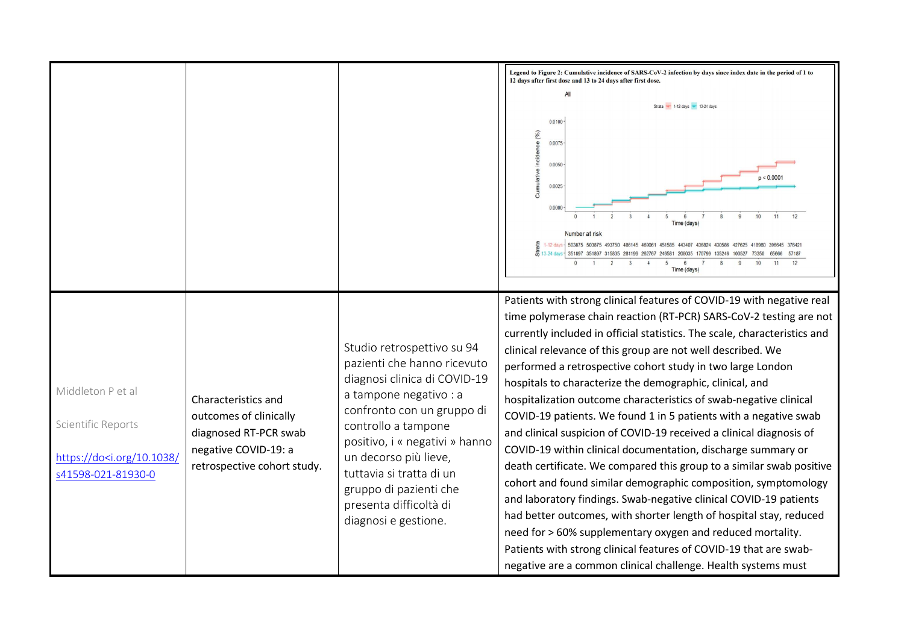|                                                                                                           |                                                                                                                               |                                                                                                                                                                                                                                                                                                                                             | Legend to Figure 2: Cumulative incidence of SARS-CoV-2 infection by days since index date in the period of 1 to<br>12 days after first dose and 13 to 24 days after first dose.<br>Strata $+$ 1-12 days $+$ 13-24 days<br>0.0100<br>(9/6)<br>0.0075<br>e9<br>incide<br>0.0050<br>p < 0.000<br>Cumula<br>0.0025<br>11<br>Number at risk<br>$\begin{array}{ll} \frac{18}{10} & 1.12 \text{ days} \\ \frac{1}{20} & 13.24 \text{ days} \end{array}$<br>503875 503875 493750 486145 469061 451585 443407 436824 430586 427625<br>351897 351897 315835 281199 262767 246581 208035 170799 135246<br>Time (days)                                                                                                                                                                                                                                                                                                                                                                                                                                                                                                                                                                                 |
|-----------------------------------------------------------------------------------------------------------|-------------------------------------------------------------------------------------------------------------------------------|---------------------------------------------------------------------------------------------------------------------------------------------------------------------------------------------------------------------------------------------------------------------------------------------------------------------------------------------|--------------------------------------------------------------------------------------------------------------------------------------------------------------------------------------------------------------------------------------------------------------------------------------------------------------------------------------------------------------------------------------------------------------------------------------------------------------------------------------------------------------------------------------------------------------------------------------------------------------------------------------------------------------------------------------------------------------------------------------------------------------------------------------------------------------------------------------------------------------------------------------------------------------------------------------------------------------------------------------------------------------------------------------------------------------------------------------------------------------------------------------------------------------------------------------------|
| Middleton P et al<br>Scientific Reports<br>https://do <i.org 10.1038="" <br="">s41598-021-81930-0</i.org> | Characteristics and<br>outcomes of clinically<br>diagnosed RT-PCR swab<br>negative COVID-19: a<br>retrospective cohort study. | Studio retrospettivo su 94<br>pazienti che hanno ricevuto<br>diagnosi clinica di COVID-19<br>a tampone negativo : a<br>confronto con un gruppo di<br>controllo a tampone<br>positivo, i « negativi » hanno<br>un decorso più lieve,<br>tuttavia și tratta di un<br>gruppo di pazienti che<br>presenta difficoltà di<br>diagnosi e gestione. | Patients with strong clinical features of COVID-19 with negative real<br>time polymerase chain reaction (RT-PCR) SARS-CoV-2 testing are not<br>currently included in official statistics. The scale, characteristics and<br>clinical relevance of this group are not well described. We<br>performed a retrospective cohort study in two large London<br>hospitals to characterize the demographic, clinical, and<br>hospitalization outcome characteristics of swab-negative clinical<br>COVID-19 patients. We found 1 in 5 patients with a negative swab<br>and clinical suspicion of COVID-19 received a clinical diagnosis of<br>COVID-19 within clinical documentation, discharge summary or<br>death certificate. We compared this group to a similar swab positive<br>cohort and found similar demographic composition, symptomology<br>and laboratory findings. Swab-negative clinical COVID-19 patients<br>had better outcomes, with shorter length of hospital stay, reduced<br>need for > 60% supplementary oxygen and reduced mortality.<br>Patients with strong clinical features of COVID-19 that are swab-<br>negative are a common clinical challenge. Health systems must |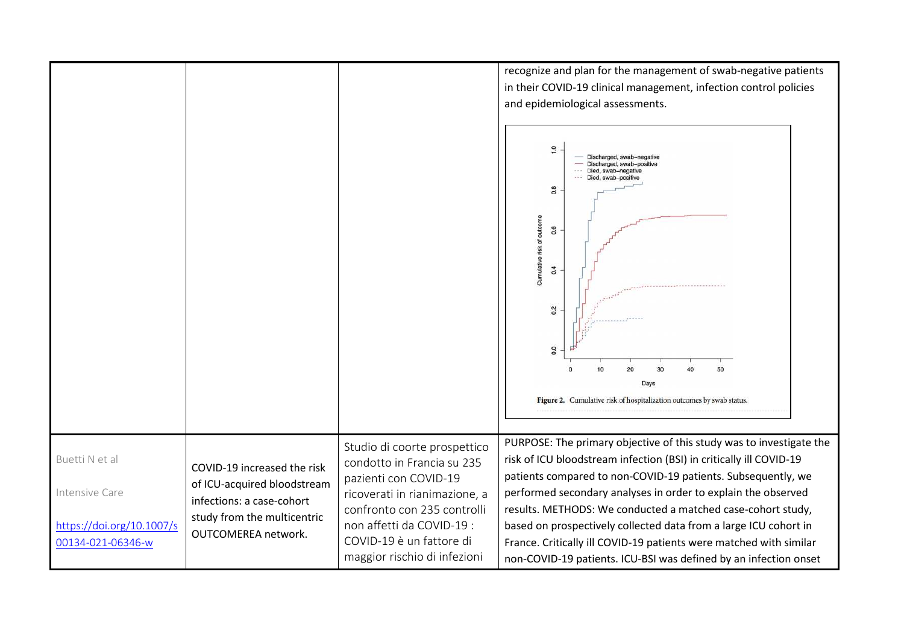recognize and plan for the management of swab-negative patients in their COVID-19 clinical management, infection control policies and epidemiological assessments.

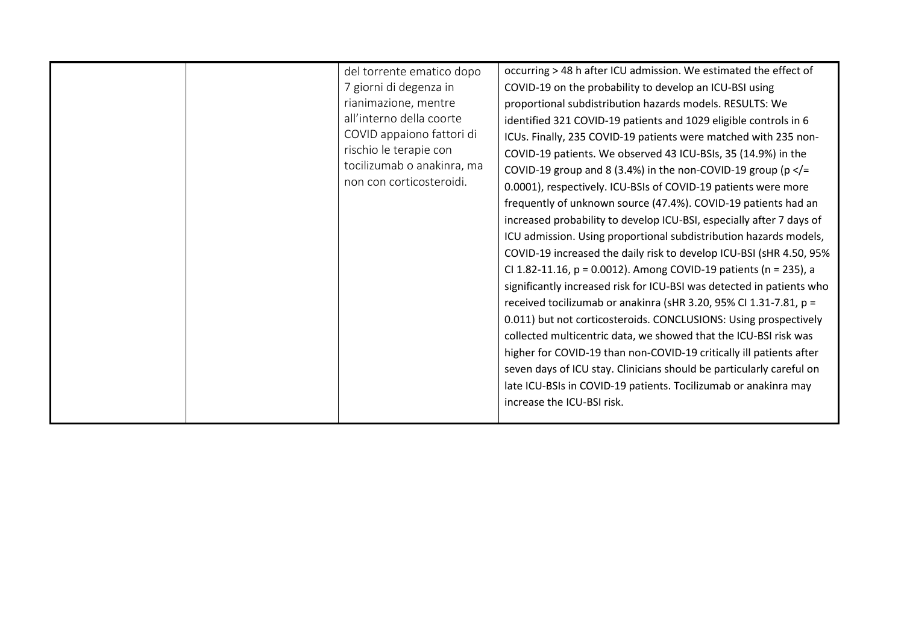|  | del torrente ematico dopo<br>7 giorni di degenza in<br>rianimazione, mentre<br>all'interno della coorte<br>COVID appaiono fattori di<br>rischio le terapie con<br>tocilizumab o anakinra, ma<br>non con corticosteroidi. | occurring > 48 h after ICU admission. We estimated the effect of<br>COVID-19 on the probability to develop an ICU-BSI using<br>proportional subdistribution hazards models. RESULTS: We<br>identified 321 COVID-19 patients and 1029 eligible controls in 6<br>ICUs. Finally, 235 COVID-19 patients were matched with 235 non-<br>COVID-19 patients. We observed 43 ICU-BSIs, 35 (14.9%) in the<br>COVID-19 group and 8 (3.4%) in the non-COVID-19 group ( $p <$ /=<br>0.0001), respectively. ICU-BSIs of COVID-19 patients were more<br>frequently of unknown source (47.4%). COVID-19 patients had an<br>increased probability to develop ICU-BSI, especially after 7 days of<br>ICU admission. Using proportional subdistribution hazards models,<br>COVID-19 increased the daily risk to develop ICU-BSI (sHR 4.50, 95%<br>CI 1.82-11.16, p = 0.0012). Among COVID-19 patients (n = 235), a<br>significantly increased risk for ICU-BSI was detected in patients who<br>received tocilizumab or anakinra (sHR 3.20, 95% CI 1.31-7.81, p =<br>0.011) but not corticosteroids. CONCLUSIONS: Using prospectively<br>collected multicentric data, we showed that the ICU-BSI risk was<br>higher for COVID-19 than non-COVID-19 critically ill patients after<br>seven days of ICU stay. Clinicians should be particularly careful on<br>late ICU-BSIs in COVID-19 patients. Tocilizumab or anakinra may<br>increase the ICU-BSI risk. |
|--|--------------------------------------------------------------------------------------------------------------------------------------------------------------------------------------------------------------------------|---------------------------------------------------------------------------------------------------------------------------------------------------------------------------------------------------------------------------------------------------------------------------------------------------------------------------------------------------------------------------------------------------------------------------------------------------------------------------------------------------------------------------------------------------------------------------------------------------------------------------------------------------------------------------------------------------------------------------------------------------------------------------------------------------------------------------------------------------------------------------------------------------------------------------------------------------------------------------------------------------------------------------------------------------------------------------------------------------------------------------------------------------------------------------------------------------------------------------------------------------------------------------------------------------------------------------------------------------------------------------------------------------------------------------------------|
|--|--------------------------------------------------------------------------------------------------------------------------------------------------------------------------------------------------------------------------|---------------------------------------------------------------------------------------------------------------------------------------------------------------------------------------------------------------------------------------------------------------------------------------------------------------------------------------------------------------------------------------------------------------------------------------------------------------------------------------------------------------------------------------------------------------------------------------------------------------------------------------------------------------------------------------------------------------------------------------------------------------------------------------------------------------------------------------------------------------------------------------------------------------------------------------------------------------------------------------------------------------------------------------------------------------------------------------------------------------------------------------------------------------------------------------------------------------------------------------------------------------------------------------------------------------------------------------------------------------------------------------------------------------------------------------|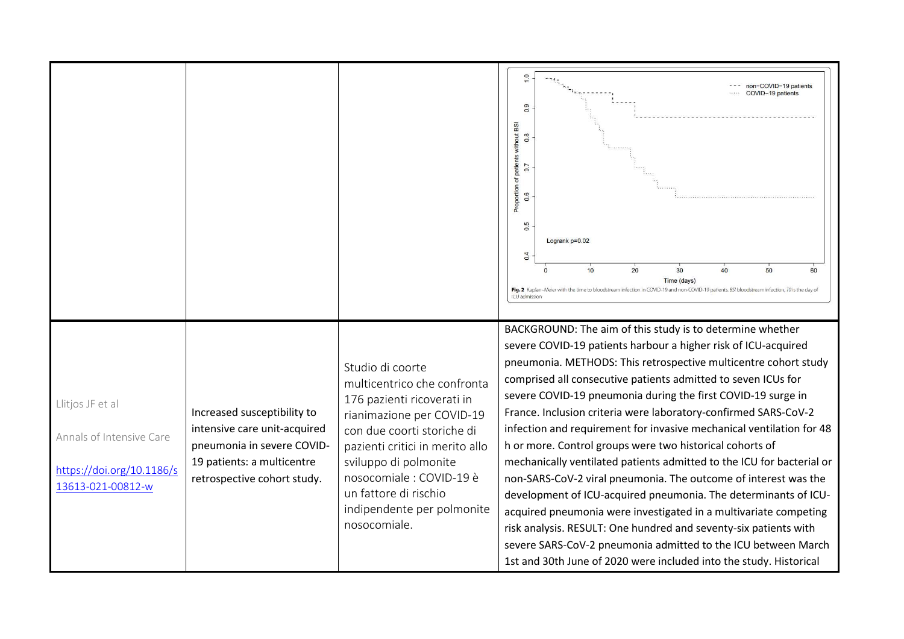|                                                                                                |                                                                                                                                                        |                                                                                                                                                                                                                                                                                                         | $\frac{0}{1}$<br>non-COVID-19 patients<br>COVID-19 patients<br>0.9<br>Proportion of patients without BSI<br>$0.\overline{8}$<br>0.7<br>$0.\overline{6}$<br>0.5<br>Logrank p=0.02<br>0.4<br>20<br>30<br>40<br>50<br>10<br>60<br>Time (days)<br>Fig. 2 Kaplan-Meier with the time to bloodstream infection in COVID-19 and non-COVID-19 patients. BSI bloodstream infection, TO is the day of<br>ICU admission                                                                                                                                                                                                                                                                                                                                                                                                                                                                                                                                                                                                                         |
|------------------------------------------------------------------------------------------------|--------------------------------------------------------------------------------------------------------------------------------------------------------|---------------------------------------------------------------------------------------------------------------------------------------------------------------------------------------------------------------------------------------------------------------------------------------------------------|--------------------------------------------------------------------------------------------------------------------------------------------------------------------------------------------------------------------------------------------------------------------------------------------------------------------------------------------------------------------------------------------------------------------------------------------------------------------------------------------------------------------------------------------------------------------------------------------------------------------------------------------------------------------------------------------------------------------------------------------------------------------------------------------------------------------------------------------------------------------------------------------------------------------------------------------------------------------------------------------------------------------------------------|
| Llitjos JF et al<br>Annals of Intensive Care<br>https://doi.org/10.1186/s<br>13613-021-00812-w | Increased susceptibility to<br>intensive care unit-acquired<br>pneumonia in severe COVID-<br>19 patients: a multicentre<br>retrospective cohort study. | Studio di coorte<br>multicentrico che confronta<br>176 pazienti ricoverati in<br>rianimazione per COVID-19<br>con due coorti storiche di<br>pazienti critici in merito allo<br>sviluppo di polmonite<br>nosocomiale : COVID-19 è<br>un fattore di rischio<br>indipendente per polmonite<br>nosocomiale. | BACKGROUND: The aim of this study is to determine whether<br>severe COVID-19 patients harbour a higher risk of ICU-acquired<br>pneumonia. METHODS: This retrospective multicentre cohort study<br>comprised all consecutive patients admitted to seven ICUs for<br>severe COVID-19 pneumonia during the first COVID-19 surge in<br>France. Inclusion criteria were laboratory-confirmed SARS-CoV-2<br>infection and requirement for invasive mechanical ventilation for 48<br>h or more. Control groups were two historical cohorts of<br>mechanically ventilated patients admitted to the ICU for bacterial or<br>non-SARS-CoV-2 viral pneumonia. The outcome of interest was the<br>development of ICU-acquired pneumonia. The determinants of ICU-<br>acquired pneumonia were investigated in a multivariate competing<br>risk analysis. RESULT: One hundred and seventy-six patients with<br>severe SARS-CoV-2 pneumonia admitted to the ICU between March<br>1st and 30th June of 2020 were included into the study. Historical |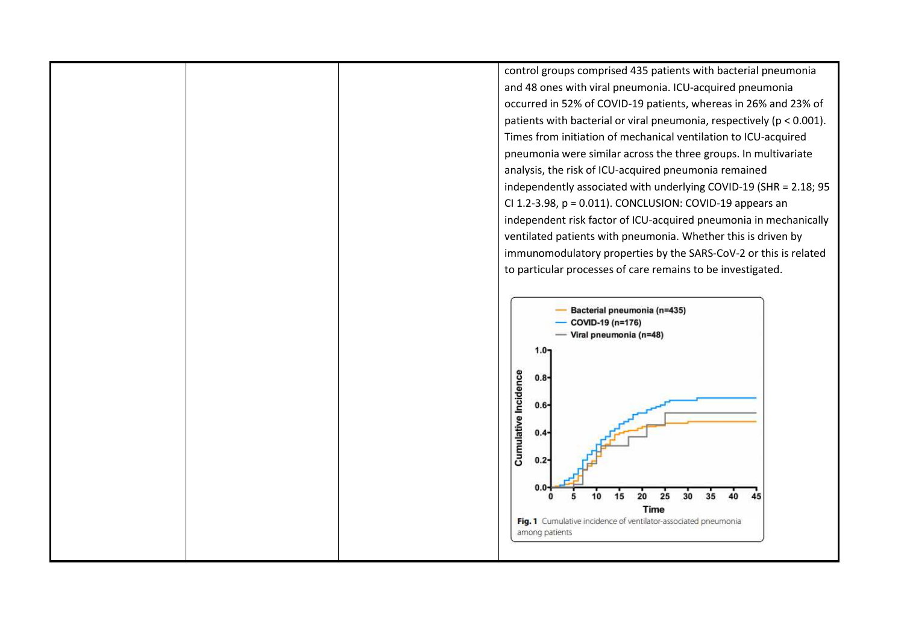control groups comprised 435 patients with bacterial pneumonia and 48 ones with viral pneumonia. ICU-acquired pneumonia occurred in 52% of COVID-19 patients, whereas in 26% and 23% of patients with bacterial or viral pneumonia, respectively (p < 0.001). Times from initiation of mechanical ventilation to ICU-acquired pneumonia were similar across the three groups. In multivariate analysis, the risk of ICU-acquired pneumonia remained independently associated with underlying COVID-19 (SHR = 2.18; 95 CI 1.2-3.98, p = 0.011). CONCLUSION: COVID-19 appears an independent risk factor of ICU-acquired pneumonia in mechanically ventilated patients with pneumonia. Whether this is driven by immunomodulatory properties by the SARS-CoV-2 or this is related to particular processes of care remains to be investigated.